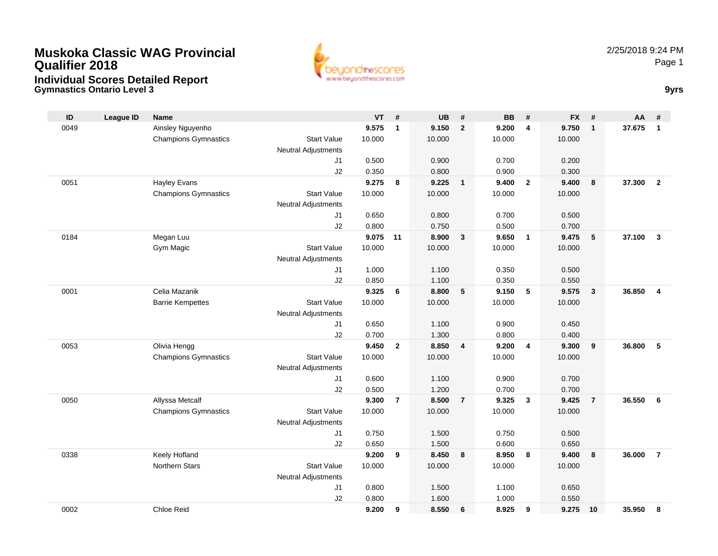

**Gymnastics Ontario Level 3 9yrs**

| ID   | <b>League ID</b> | <b>Name</b>                 |                            | $VT$ # |                | <b>UB</b> | #                       | <b>BB</b> | #                       | <b>FX</b> | #                       | AA     | #              |
|------|------------------|-----------------------------|----------------------------|--------|----------------|-----------|-------------------------|-----------|-------------------------|-----------|-------------------------|--------|----------------|
| 0049 |                  | Ainsley Nguyenho            |                            | 9.575  | $\mathbf{1}$   | 9.150     | $\overline{2}$          | 9.200     | $\overline{4}$          | 9.750     | $\overline{1}$          | 37.675 | $\mathbf{1}$   |
|      |                  | <b>Champions Gymnastics</b> | <b>Start Value</b>         | 10.000 |                | 10.000    |                         | 10.000    |                         | 10.000    |                         |        |                |
|      |                  |                             | <b>Neutral Adjustments</b> |        |                |           |                         |           |                         |           |                         |        |                |
|      |                  |                             | J <sub>1</sub>             | 0.500  |                | 0.900     |                         | 0.700     |                         | 0.200     |                         |        |                |
|      |                  |                             | J2                         | 0.350  |                | 0.800     |                         | 0.900     |                         | 0.300     |                         |        |                |
| 0051 |                  | <b>Hayley Evans</b>         |                            | 9.275  | 8              | 9.225     | $\mathbf{1}$            | 9.400     | $\overline{\mathbf{2}}$ | 9.400     | 8                       | 37.300 | $\overline{2}$ |
|      |                  | <b>Champions Gymnastics</b> | <b>Start Value</b>         | 10.000 |                | 10.000    |                         | 10.000    |                         | 10.000    |                         |        |                |
|      |                  |                             | <b>Neutral Adjustments</b> |        |                |           |                         |           |                         |           |                         |        |                |
|      |                  |                             | J <sub>1</sub>             | 0.650  |                | 0.800     |                         | 0.700     |                         | 0.500     |                         |        |                |
|      |                  |                             | J2                         | 0.800  |                | 0.750     |                         | 0.500     |                         | 0.700     |                         |        |                |
| 0184 |                  | Megan Luu                   |                            | 9.075  | 11             | 8.900     | $\mathbf{3}$            | 9.650     | $\overline{1}$          | 9.475     | 5                       | 37.100 | $\overline{3}$ |
|      |                  | Gym Magic                   | <b>Start Value</b>         | 10.000 |                | 10.000    |                         | 10.000    |                         | 10.000    |                         |        |                |
|      |                  |                             | <b>Neutral Adjustments</b> |        |                |           |                         |           |                         |           |                         |        |                |
|      |                  |                             | J <sub>1</sub>             | 1.000  |                | 1.100     |                         | 0.350     |                         | 0.500     |                         |        |                |
|      |                  |                             | J2                         | 0.850  |                | 1.100     |                         | 0.350     |                         | 0.550     |                         |        |                |
| 0001 |                  | Celia Mazanik               |                            | 9.325  | 6              | 8.800     | 5                       | 9.150     | $-5$                    | 9.575     | $\overline{\mathbf{3}}$ | 36.850 | $\overline{4}$ |
|      |                  | <b>Barrie Kempettes</b>     | <b>Start Value</b>         | 10.000 |                | 10.000    |                         | 10.000    |                         | 10.000    |                         |        |                |
|      |                  |                             | <b>Neutral Adjustments</b> |        |                |           |                         |           |                         |           |                         |        |                |
|      |                  |                             | J1                         | 0.650  |                | 1.100     |                         | 0.900     |                         | 0.450     |                         |        |                |
|      |                  |                             | J2                         | 0.700  |                | 1.300     |                         | 0.800     |                         | 0.400     |                         |        |                |
| 0053 |                  | Olivia Hengg                |                            | 9.450  | $\overline{2}$ | 8.850     | $\overline{\mathbf{4}}$ | 9.200     | $\overline{4}$          | 9.300     | 9                       | 36.800 | 5              |
|      |                  | <b>Champions Gymnastics</b> | <b>Start Value</b>         | 10.000 |                | 10.000    |                         | 10.000    |                         | 10.000    |                         |        |                |
|      |                  |                             | <b>Neutral Adjustments</b> |        |                |           |                         |           |                         |           |                         |        |                |
|      |                  |                             | J1                         | 0.600  |                | 1.100     |                         | 0.900     |                         | 0.700     |                         |        |                |
|      |                  |                             | J2                         | 0.500  |                | 1.200     |                         | 0.700     |                         | 0.700     |                         |        |                |
| 0050 |                  | Allyssa Metcalf             |                            | 9.300  | $\overline{7}$ | 8.500     | $\overline{7}$          | 9.325     | $\mathbf{3}$            | 9.425     | $\overline{7}$          | 36.550 | 6              |
|      |                  | <b>Champions Gymnastics</b> | <b>Start Value</b>         | 10.000 |                | 10.000    |                         | 10.000    |                         | 10.000    |                         |        |                |
|      |                  |                             | <b>Neutral Adjustments</b> |        |                |           |                         |           |                         |           |                         |        |                |
|      |                  |                             | J1                         | 0.750  |                | 1.500     |                         | 0.750     |                         | 0.500     |                         |        |                |
|      |                  |                             | J2                         | 0.650  |                | 1.500     |                         | 0.600     |                         | 0.650     |                         |        |                |
| 0338 |                  | Keely Hofland               |                            | 9.200  | 9              | 8.450     | 8                       | 8.950     | 8                       | 9.400     | 8                       | 36.000 | $\overline{7}$ |
|      |                  | <b>Northern Stars</b>       | <b>Start Value</b>         | 10.000 |                | 10.000    |                         | 10.000    |                         | 10.000    |                         |        |                |
|      |                  |                             | <b>Neutral Adjustments</b> |        |                |           |                         |           |                         |           |                         |        |                |
|      |                  |                             | J1                         | 0.800  |                | 1.500     |                         | 1.100     |                         | 0.650     |                         |        |                |
|      |                  |                             | J2                         | 0.800  |                | 1.600     |                         | 1.000     |                         | 0.550     |                         |        |                |
| 0002 |                  | Chloe Reid                  |                            | 9.200  | 9              | 8.550     | 6                       | 8.925     | 9                       | 9.275     | 10                      | 35.950 | 8              |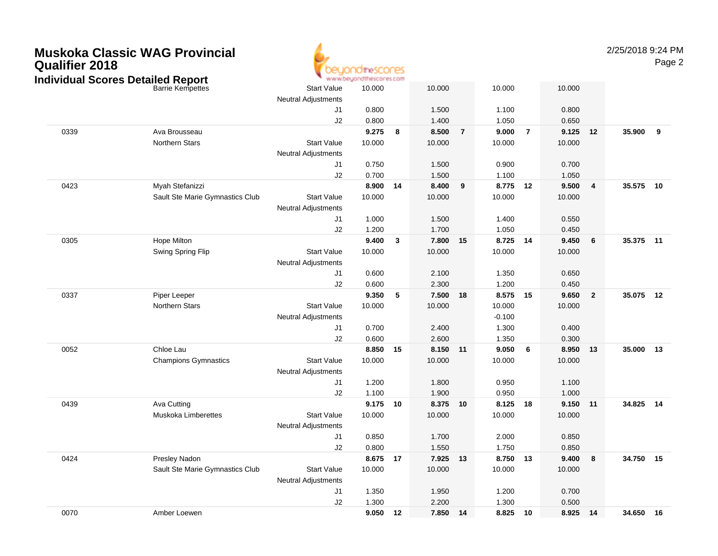2/25/2018 9:24 PM

|                                  |                                 | .                          |                |    |                |                |                |                |                |                         |           |    |
|----------------------------------|---------------------------------|----------------------------|----------------|----|----------------|----------------|----------------|----------------|----------------|-------------------------|-----------|----|
| idividual Scores Detailed Report | <b>Barrie Kempettes</b>         | <b>Start Value</b>         | 10.000         |    | 10.000         |                | 10.000         |                | 10.000         |                         |           |    |
|                                  |                                 | <b>Neutral Adjustments</b> |                |    |                |                |                |                |                |                         |           |    |
|                                  |                                 | J1<br>J2                   | 0.800<br>0.800 |    | 1.500<br>1.400 |                | 1.100<br>1.050 |                | 0.800<br>0.650 |                         |           |    |
| 0339                             | Ava Brousseau                   |                            | 9.275          | 8  | 8.500          | $\overline{7}$ | 9.000          | $\overline{7}$ | 9.125          | 12                      | 35.900    | 9  |
|                                  | Northern Stars                  | <b>Start Value</b>         | 10.000         |    | 10.000         |                | 10.000         |                | 10.000         |                         |           |    |
|                                  |                                 | <b>Neutral Adjustments</b> |                |    |                |                |                |                |                |                         |           |    |
|                                  |                                 | J1                         | 0.750          |    | 1.500          |                | 0.900          |                | 0.700          |                         |           |    |
|                                  |                                 | J2                         | 0.700          |    | 1.500          |                | 1.100          |                | 1.050          |                         |           |    |
| 0423                             | Myah Stefanizzi                 |                            | 8.900          | 14 | 8.400          | 9              | 8.775 12       |                | 9.500          | $\overline{\mathbf{4}}$ | 35.575 10 |    |
|                                  | Sault Ste Marie Gymnastics Club | <b>Start Value</b>         | 10.000         |    | 10.000         |                | 10.000         |                | 10.000         |                         |           |    |
|                                  |                                 | <b>Neutral Adjustments</b> |                |    |                |                |                |                |                |                         |           |    |
|                                  |                                 | J1                         | 1.000          |    | 1.500          |                | 1.400          |                | 0.550          |                         |           |    |
|                                  |                                 | J2                         | 1.200          |    | 1.700          |                | 1.050          |                | 0.450          |                         |           |    |
| 0305                             | Hope Milton                     |                            | 9.400          | 3  | 7.800 15       |                | 8.725 14       |                | 9.450          | 6                       | 35.375 11 |    |
|                                  | Swing Spring Flip               | <b>Start Value</b>         | 10.000         |    | 10.000         |                | 10.000         |                | 10.000         |                         |           |    |
|                                  |                                 | <b>Neutral Adjustments</b> |                |    |                |                |                |                |                |                         |           |    |
|                                  |                                 | J1                         | 0.600          |    | 2.100          |                | 1.350          |                | 0.650          |                         |           |    |
|                                  |                                 | J2                         | 0.600          |    | 2.300          |                | 1.200          |                | 0.450          |                         |           |    |
| 0337                             | Piper Leeper                    |                            | 9.350          | 5  | 7.500          | 18             | 8.575 15       |                | 9.650          | $\overline{2}$          | 35.075 12 |    |
|                                  | Northern Stars                  | <b>Start Value</b>         | 10.000         |    | 10.000         |                | 10.000         |                | 10.000         |                         |           |    |
|                                  |                                 | <b>Neutral Adjustments</b> |                |    |                |                | $-0.100$       |                |                |                         |           |    |
|                                  |                                 | J1                         | 0.700          |    | 2.400          |                | 1.300          |                | 0.400          |                         |           |    |
|                                  |                                 | J2                         | 0.600          |    | 2.600          |                | 1.350          |                | 0.300          |                         |           |    |
| 0052                             | Chloe Lau                       |                            | 8.850          | 15 | 8.150 11       |                | 9.050          | 6              | 8.950          | 13                      | 35.000    | 13 |
|                                  | <b>Champions Gymnastics</b>     | <b>Start Value</b>         | 10.000         |    | 10.000         |                | 10.000         |                | 10.000         |                         |           |    |
|                                  |                                 | <b>Neutral Adjustments</b> |                |    |                |                |                |                |                |                         |           |    |
|                                  |                                 | J1                         | 1.200          |    | 1.800          |                | 0.950          |                | 1.100          |                         |           |    |
|                                  |                                 | J2                         | 1.100          |    | 1.900          |                | 0.950          |                | 1.000          |                         |           |    |
| 0439                             | Ava Cutting                     |                            | 9.175          | 10 | 8.375 10       |                | 8.125 18       |                | 9.150          | $-11$                   | 34.825 14 |    |
|                                  | <b>Muskoka Limberettes</b>      | <b>Start Value</b>         | 10.000         |    | 10.000         |                | 10.000         |                | 10.000         |                         |           |    |
|                                  |                                 | <b>Neutral Adjustments</b> |                |    |                |                |                |                |                |                         |           |    |
|                                  |                                 | J1                         | 0.850          |    | 1.700          |                | 2.000          |                | 0.850          |                         |           |    |
|                                  |                                 | J2                         | 0.800          |    | 1.550          |                | 1.750          |                | 0.850          |                         |           |    |
| 0424                             | Presley Nadon                   |                            | 8.675          | 17 | 7.925 13       |                | 8.750 13       |                | 9.400          | 8                       | 34.750 15 |    |
|                                  | Sault Ste Marie Gymnastics Club | <b>Start Value</b>         | 10.000         |    | 10.000         |                | 10.000         |                | 10.000         |                         |           |    |
|                                  |                                 | <b>Neutral Adjustments</b> |                |    |                |                |                |                |                |                         |           |    |
|                                  |                                 | J1                         | 1.350          |    | 1.950          |                | 1.200          |                | 0.700          |                         |           |    |
|                                  |                                 | J2                         | 1.300          |    | 2.200          |                | 1.300          |                | 0.500          |                         |           |    |
| 0070                             | Amber Loewen                    |                            | 9.050          | 12 | 7.850 14       |                | 8.825 10       |                | 8.925 14       |                         | 34.650 16 |    |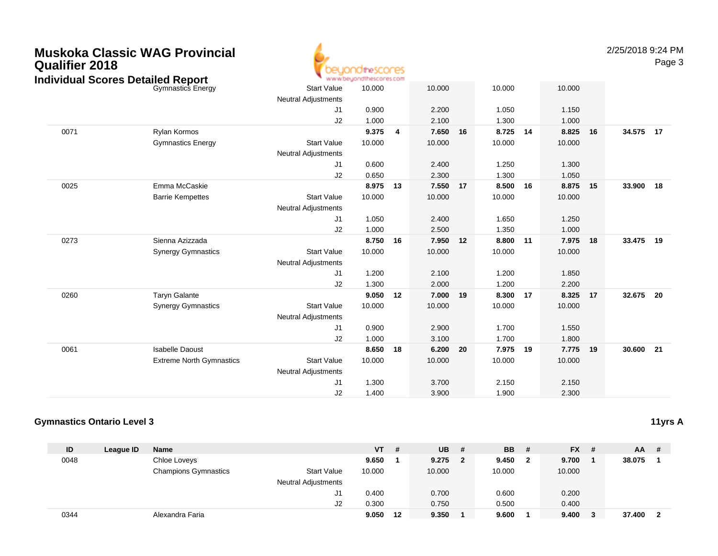| <b>Qualifier 2018</b> | <b>Muskoka Classic WAG Provincial</b><br><b>Individual Scores Detailed Report</b> |                            | theSCOCES |   |        |    |          |        |
|-----------------------|-----------------------------------------------------------------------------------|----------------------------|-----------|---|--------|----|----------|--------|
|                       | <b>Gymnastics Energy</b>                                                          | <b>Start Value</b>         | 10.000    |   | 10.000 |    | 10.000   | 10.000 |
|                       |                                                                                   | <b>Neutral Adjustments</b> |           |   |        |    |          |        |
|                       |                                                                                   | J1                         | 0.900     |   | 2.200  |    | 1.050    | 1.150  |
|                       |                                                                                   | J2                         | 1.000     |   | 2.100  |    | 1.300    | 1.000  |
| 0071                  | Rylan Kormos                                                                      |                            | 9.375     | 4 | 7.650  | 16 | 8.725 14 | 8.825  |
|                       | <b>Gymnastics Energy</b>                                                          | <b>Start Value</b>         | 10.000    |   | 10.000 |    | 10.000   | 10.000 |
|                       |                                                                                   | <b>Neutral Adjustments</b> |           |   |        |    |          |        |
|                       |                                                                                   | J1                         | 0.600     |   | 2.400  |    | .250     | .300   |

2/25/2018 9:24 PM

Page 3

|      |                                 |                            |        |    | .      |    | .0.000 |    | .0.000 |    |           |     |
|------|---------------------------------|----------------------------|--------|----|--------|----|--------|----|--------|----|-----------|-----|
|      |                                 | <b>Neutral Adjustments</b> |        |    |        |    |        |    |        |    |           |     |
|      |                                 | J1                         | 0.900  |    | 2.200  |    | 1.050  |    | 1.150  |    |           |     |
|      |                                 | J2                         | 1.000  |    | 2.100  |    | 1.300  |    | 1.000  |    |           |     |
| 0071 | Rylan Kormos                    |                            | 9.375  | 4  | 7.650  | 16 | 8.725  | 14 | 8.825  | 16 | 34.575 17 |     |
|      | <b>Gymnastics Energy</b>        | <b>Start Value</b>         | 10.000 |    | 10.000 |    | 10.000 |    | 10.000 |    |           |     |
|      |                                 | <b>Neutral Adjustments</b> |        |    |        |    |        |    |        |    |           |     |
|      |                                 | J1                         | 0.600  |    | 2.400  |    | 1.250  |    | 1.300  |    |           |     |
|      |                                 | J2                         | 0.650  |    | 2.300  |    | 1.300  |    | 1.050  |    |           |     |
| 0025 | Emma McCaskie                   |                            | 8.975  | 13 | 7.550  | 17 | 8.500  | 16 | 8.875  | 15 | 33.900    | 18  |
|      | <b>Barrie Kempettes</b>         | <b>Start Value</b>         | 10.000 |    | 10.000 |    | 10.000 |    | 10.000 |    |           |     |
|      |                                 | <b>Neutral Adjustments</b> |        |    |        |    |        |    |        |    |           |     |
|      |                                 | J1                         | 1.050  |    | 2.400  |    | 1.650  |    | 1.250  |    |           |     |
|      |                                 | J2                         | 1.000  |    | 2.500  |    | 1.350  |    | 1.000  |    |           |     |
| 0273 | Sienna Azizzada                 |                            | 8.750  | 16 | 7.950  | 12 | 8.800  | 11 | 7.975  | 18 | 33.475    | 19  |
|      | <b>Synergy Gymnastics</b>       | <b>Start Value</b>         | 10.000 |    | 10.000 |    | 10.000 |    | 10.000 |    |           |     |
|      |                                 | <b>Neutral Adjustments</b> |        |    |        |    |        |    |        |    |           |     |
|      |                                 | J1                         | 1.200  |    | 2.100  |    | 1.200  |    | 1.850  |    |           |     |
|      |                                 | J2                         | 1.300  |    | 2.000  |    | 1.200  |    | 2.200  |    |           |     |
| 0260 | <b>Taryn Galante</b>            |                            | 9.050  | 12 | 7.000  | 19 | 8.300  | 17 | 8.325  | 17 | 32.675    | -20 |
|      | <b>Synergy Gymnastics</b>       | <b>Start Value</b>         | 10.000 |    | 10.000 |    | 10.000 |    | 10.000 |    |           |     |
|      |                                 | <b>Neutral Adjustments</b> |        |    |        |    |        |    |        |    |           |     |
|      |                                 | J1                         | 0.900  |    | 2.900  |    | 1.700  |    | 1.550  |    |           |     |
|      |                                 | J2                         | 1.000  |    | 3.100  |    | 1.700  |    | 1.800  |    |           |     |
| 0061 | <b>Isabelle Daoust</b>          |                            | 8.650  | 18 | 6.200  | 20 | 7.975  | 19 | 7.775  | 19 | 30.600    | 21  |
|      | <b>Extreme North Gymnastics</b> | <b>Start Value</b>         | 10.000 |    | 10.000 |    | 10.000 |    | 10.000 |    |           |     |
|      |                                 | <b>Neutral Adjustments</b> |        |    |        |    |        |    |        |    |           |     |
|      |                                 | J1                         | 1.300  |    | 3.700  |    | 2.150  |    | 2.150  |    |           |     |
|      |                                 | J2                         | 1.400  |    | 3.900  |    | 1.900  |    | 2.300  |    |           |     |
|      |                                 |                            |        |    |        |    |        |    |        |    |           |     |

#### **Gymnastics Ontario Level 3**

**ID League ID Name VT # UB # BB # FX # AA #** 0048 Chloe Loveys **9.650 <sup>1</sup> 9.275 <sup>2</sup> 9.450 <sup>2</sup> 9.700 <sup>1</sup> 38.075 <sup>1</sup>** Champions Gymnastics Start Valuee 10.000 10.000 10.000 10.000 Neutral Adjustments J1 0.400 0.700 0.600 0.200 J2 0.300 0.750 0.500 0.400 0344Alexandra Faria **9.050 <sup>12</sup> 9.350 <sup>1</sup> 9.600 <sup>1</sup> 9.400 <sup>3</sup> 37.400 <sup>2</sup>**

**11yrs A**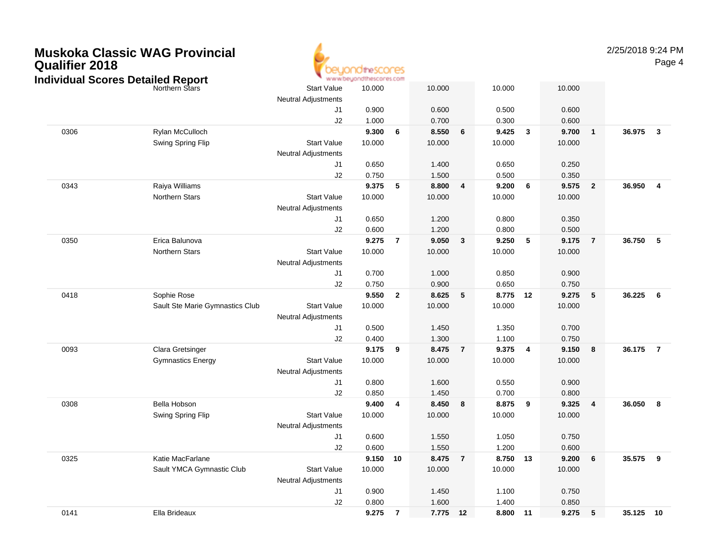| <b>Qualifier 2018</b> | <b>Muskoka Classic WAG Provincial</b>                      |                            | direscores                        |                |        |                |          |              |        |                         | 2/25/2018 9:24 | Pag            |
|-----------------------|------------------------------------------------------------|----------------------------|-----------------------------------|----------------|--------|----------------|----------|--------------|--------|-------------------------|----------------|----------------|
|                       | <b>Individual Scores Detailed Report</b><br>Northern Stars | <b>Start Value</b>         | www.beyondthescores.com<br>10.000 |                | 10.000 |                | 10.000   |              | 10.000 |                         |                |                |
|                       |                                                            | <b>Neutral Adjustments</b> |                                   |                |        |                |          |              |        |                         |                |                |
|                       |                                                            | J <sub>1</sub>             | 0.900                             |                | 0.600  |                | 0.500    |              | 0.600  |                         |                |                |
|                       |                                                            | J2                         | 1.000                             |                | 0.700  |                | 0.300    |              | 0.600  |                         |                |                |
| 0306                  | Rylan McCulloch                                            |                            | 9.300                             | 6              | 8.550  | 6              | 9.425    | $\mathbf{3}$ | 9.700  | $\overline{1}$          | 36.975         | $\mathbf{3}$   |
|                       | Swing Spring Flip                                          | <b>Start Value</b>         | 10.000                            |                | 10.000 |                | 10.000   |              | 10.000 |                         |                |                |
|                       |                                                            | <b>Neutral Adjustments</b> |                                   |                |        |                |          |              |        |                         |                |                |
|                       |                                                            | J1                         | 0.650                             |                | 1.400  |                | 0.650    |              | 0.250  |                         |                |                |
|                       |                                                            | J2                         | 0.750                             |                | 1.500  |                | 0.500    |              | 0.350  |                         |                |                |
| 0343                  | Raiya Williams                                             |                            | 9.375                             | 5              | 8.800  | 4              | 9.200    | 6            | 9.575  | $\overline{2}$          | 36.950         | 4              |
|                       | <b>Northern Stars</b>                                      | <b>Start Value</b>         | 10.000                            |                | 10.000 |                | 10.000   |              | 10.000 |                         |                |                |
|                       |                                                            | <b>Neutral Adjustments</b> |                                   |                |        |                |          |              |        |                         |                |                |
|                       |                                                            | J1                         | 0.650                             |                | 1.200  |                | 0.800    |              | 0.350  |                         |                |                |
|                       |                                                            | J2                         | 0.600                             |                | 1.200  |                | 0.800    |              | 0.500  |                         |                |                |
| 0350                  | Erica Balunova                                             |                            | 9.275                             | $\overline{7}$ | 9.050  | $\mathbf{3}$   | 9.250    | 5            | 9.175  | $\overline{7}$          | 36.750         | 5              |
|                       | Northern Stars                                             | <b>Start Value</b>         | 10.000                            |                | 10.000 |                | 10.000   |              | 10.000 |                         |                |                |
|                       |                                                            | <b>Neutral Adjustments</b> |                                   |                |        |                |          |              |        |                         |                |                |
|                       |                                                            | J1                         | 0.700                             |                | 1.000  |                | 0.850    |              | 0.900  |                         |                |                |
|                       |                                                            | J2                         | 0.750                             |                | 0.900  |                | 0.650    |              | 0.750  |                         |                |                |
| 0418                  | Sophie Rose                                                |                            | 9.550                             | $\overline{2}$ | 8.625  | 5              | 8.775 12 |              | 9.275  | 5                       | 36.225         | 6              |
|                       | Sault Ste Marie Gymnastics Club                            | <b>Start Value</b>         | 10.000                            |                | 10.000 |                | 10.000   |              | 10.000 |                         |                |                |
|                       |                                                            | <b>Neutral Adjustments</b> |                                   |                |        |                |          |              |        |                         |                |                |
|                       |                                                            | J1                         | 0.500                             |                | 1.450  |                | 1.350    |              | 0.700  |                         |                |                |
|                       |                                                            | J2                         | 0.400                             |                | 1.300  |                | 1.100    |              | 0.750  |                         |                |                |
| 0093                  | Clara Gretsinger                                           |                            | 9.175                             | 9              | 8.475  | $\overline{7}$ | 9.375    | 4            | 9.150  | 8                       | 36.175         | $\overline{7}$ |
|                       | <b>Gymnastics Energy</b>                                   | <b>Start Value</b>         | 10.000                            |                | 10.000 |                | 10.000   |              | 10.000 |                         |                |                |
|                       |                                                            | <b>Neutral Adjustments</b> |                                   |                |        |                |          |              |        |                         |                |                |
|                       |                                                            | J1                         | 0.800                             |                | 1.600  |                | 0.550    |              | 0.900  |                         |                |                |
|                       |                                                            | J2                         | 0.850                             |                | 1.450  |                | 0.700    |              | 0.800  |                         |                |                |
| 0308                  | <b>Bella Hobson</b>                                        |                            | 9.400                             | $\overline{4}$ | 8.450  | 8              | 8.875    | 9            | 9.325  | $\overline{\mathbf{4}}$ | 36.050         | 8              |
|                       | Swing Spring Flip                                          | <b>Start Value</b>         | 10.000                            |                | 10.000 |                | 10.000   |              | 10.000 |                         |                |                |
|                       |                                                            | <b>Neutral Adjustments</b> |                                   |                |        |                |          |              |        |                         |                |                |
|                       |                                                            | J1                         | 0.600                             |                | 1.550  |                | 1.050    |              | 0.750  |                         |                |                |
|                       |                                                            | J2                         | 0.600                             |                | 1.550  |                | 1.200    |              | 0.600  |                         |                |                |
| 0325                  | Katie MacFarlane                                           |                            | 9.150                             | 10             | 8.475  | $\overline{7}$ | 8.750    | 13           | 9.200  | 6                       | 35.575         | 9              |

Neutral Adjustments

J1

J2

b 3tart Value 10.000 10.000 10.000 10.000 10.000

0.900 1.450 1.100 0.750

0.800 1.600 1.400 0.850

### PM

Page 4

0141Ella Brideaux **9.275 <sup>7</sup> 7.775 <sup>12</sup> 8.800 <sup>11</sup> 9.275 <sup>5</sup> 35.125 <sup>10</sup>**

Sault YMCA Gymnastic Club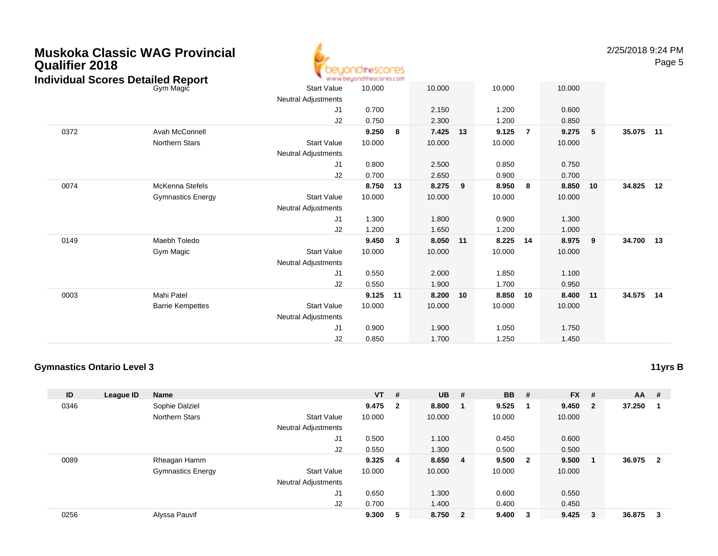| <b>Qualifier 2018</b> | <b>Muskoka Classic WAG Provincial</b><br><b>Individual Scores Detailed Report</b> |                            | peyondthescores<br>www.beyondthescores.com |                         |        |    |        |                |        |    | 2/25/2018 9:24 PM | Page 5 |
|-----------------------|-----------------------------------------------------------------------------------|----------------------------|--------------------------------------------|-------------------------|--------|----|--------|----------------|--------|----|-------------------|--------|
|                       | Gym Magic                                                                         | <b>Start Value</b>         | 10.000                                     |                         | 10.000 |    | 10.000 |                | 10.000 |    |                   |        |
|                       |                                                                                   | <b>Neutral Adjustments</b> |                                            |                         |        |    |        |                |        |    |                   |        |
|                       |                                                                                   | J1                         | 0.700                                      |                         | 2.150  |    | 1.200  |                | 0.600  |    |                   |        |
|                       |                                                                                   | J2                         | 0.750                                      |                         | 2.300  |    | 1.200  |                | 0.850  |    |                   |        |
| 0372                  | Avah McConnell                                                                    |                            | 9.250                                      | - 8                     | 7.425  | 13 | 9.125  | $\overline{7}$ | 9.275  | 5  | 35.075            | 11     |
|                       | <b>Northern Stars</b>                                                             | <b>Start Value</b>         | 10.000                                     |                         | 10.000 |    | 10.000 |                | 10.000 |    |                   |        |
|                       |                                                                                   | <b>Neutral Adjustments</b> |                                            |                         |        |    |        |                |        |    |                   |        |
|                       |                                                                                   | J1                         | 0.800                                      |                         | 2.500  |    | 0.850  |                | 0.750  |    |                   |        |
|                       |                                                                                   | J2                         | 0.700                                      |                         | 2.650  |    | 0.900  |                | 0.700  |    |                   |        |
| 0074                  | <b>McKenna Stefels</b>                                                            |                            | 8.750                                      | 13                      | 8.275  | 9  | 8.950  | 8              | 8.850  | 10 | 34.825            | 12     |
|                       | <b>Gymnastics Energy</b>                                                          | <b>Start Value</b>         | 10.000                                     |                         | 10.000 |    | 10.000 |                | 10.000 |    |                   |        |
|                       |                                                                                   | <b>Neutral Adjustments</b> |                                            |                         |        |    |        |                |        |    |                   |        |
|                       |                                                                                   | J1                         | 1.300                                      |                         | 1.800  |    | 0.900  |                | 1.300  |    |                   |        |
|                       |                                                                                   | J2                         | 1.200                                      |                         | 1.650  |    | 1.200  |                | 1.000  |    |                   |        |
| 0149                  | Maebh Toledo                                                                      |                            | 9.450                                      | $\overline{\mathbf{3}}$ | 8.050  | 11 | 8.225  | 14             | 8.975  | 9  | 34.700            | 13     |
|                       | Gym Magic                                                                         | <b>Start Value</b>         | 10.000                                     |                         | 10.000 |    | 10.000 |                | 10.000 |    |                   |        |
|                       |                                                                                   | <b>Neutral Adjustments</b> |                                            |                         |        |    |        |                |        |    |                   |        |
|                       |                                                                                   | J1                         | 0.550                                      |                         | 2.000  |    | 1.850  |                | 1.100  |    |                   |        |
|                       |                                                                                   | J2                         | 0.550                                      |                         | 1.900  |    | 1.700  |                | 0.950  |    |                   |        |
| 0003                  | Mahi Patel                                                                        |                            | 9.125                                      | 11                      | 8.200  | 10 | 8.850  | 10             | 8.400  | 11 | 34.575            | 14     |
|                       | <b>Barrie Kempettes</b>                                                           | <b>Start Value</b>         | 10.000                                     |                         | 10.000 |    | 10.000 |                | 10.000 |    |                   |        |
|                       |                                                                                   | <b>Neutral Adjustments</b> |                                            |                         |        |    |        |                |        |    |                   |        |
|                       |                                                                                   | J1                         | 0.900                                      |                         | 1.900  |    | 1.050  |                | 1.750  |    |                   |        |
|                       |                                                                                   | J2                         | 0.850                                      |                         | 1.700  |    | 1.250  |                | 1.450  |    |                   |        |

#### **Gymnastics Ontario Level 3**

**ID League ID Name VT # UB # BB # FX # AA #** 0346 Sophie Dalziel **9.475 <sup>2</sup> 8.800 <sup>1</sup> 9.525 <sup>1</sup> 9.450 <sup>2</sup> 37.250 <sup>1</sup>** Northern Stars Start Valuee 10.000 10.000 10.000 10.000 Neutral Adjustments J1 0.500 1.100 0.450 0.600 J2 0.550 1.300 0.500 0.500 0089 Rheagan Hamm **9.325 <sup>4</sup> 8.650 <sup>4</sup> 9.500 <sup>2</sup> 9.500 <sup>1</sup> 36.975 <sup>2</sup>** Gymnastics Energy Start Valuee 10.000 10.000 10.000 10.000 Neutral Adjustments J1 0.650 1.300 0.600 0.550 J2 0.700 1.400 0.400 0.450 0256Alyssa Pauvif **9.300 <sup>5</sup> 8.750 <sup>2</sup> 9.400 <sup>3</sup> 9.425 <sup>3</sup> 36.875 <sup>3</sup>**

# **11yrs B**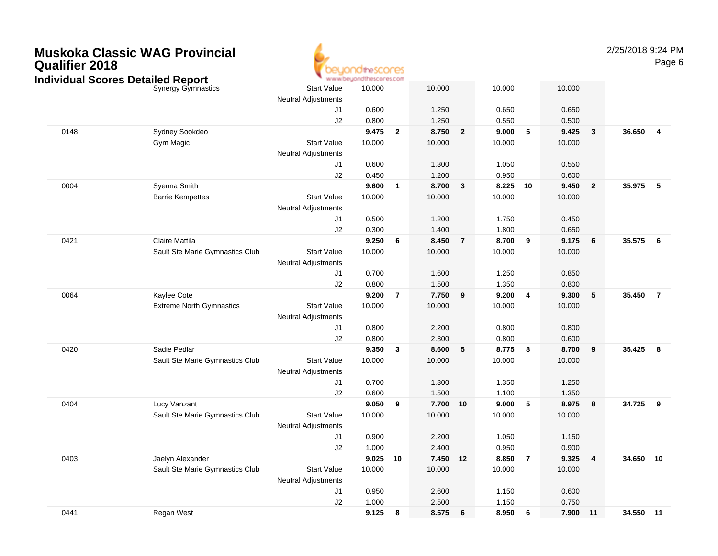#### **Muskoka Classic WAG ProvincialQualifier 2018**ΈS www.beuondthescores.com **Individual Scores Detailed Report**Synergy Gymnasticss Start Value Neutral AdjustmentsJ1

2/25/2018 9:24 PMPage 6

|      | Synergy Gymnastics              | <b>Start Value</b><br><b>Neutral Adjustments</b> | 10.000         |                | 10.000         |                | 10.000         |                | 10.000         |                         |           |                |
|------|---------------------------------|--------------------------------------------------|----------------|----------------|----------------|----------------|----------------|----------------|----------------|-------------------------|-----------|----------------|
|      |                                 | J1                                               | 0.600          |                | 1.250          |                | 0.650          |                | 0.650          |                         |           |                |
|      |                                 | J2                                               | 0.800          |                | 1.250          |                | 0.550          |                | 0.500          |                         |           |                |
| 0148 | Sydney Sookdeo                  |                                                  | 9.475          | $\mathbf{2}$   | 8.750          | $\overline{2}$ | 9.000          | 5              | 9.425          | $\overline{\mathbf{3}}$ | 36.650    | $\overline{4}$ |
|      | Gym Magic                       | <b>Start Value</b>                               | 10.000         |                | 10.000         |                | 10.000         |                | 10.000         |                         |           |                |
|      |                                 | <b>Neutral Adjustments</b>                       |                |                |                |                |                |                |                |                         |           |                |
|      |                                 | J1                                               | 0.600          |                | 1.300          |                | 1.050          |                | 0.550          |                         |           |                |
|      |                                 | J2                                               | 0.450          |                | 1.200          |                | 0.950          |                | 0.600          |                         |           |                |
| 0004 | Syenna Smith                    |                                                  | 9.600          | $\mathbf{1}$   | 8.700          | $\mathbf{3}$   | 8.225          | 10             | 9.450          | $\overline{2}$          | 35.975    | - 5            |
|      | <b>Barrie Kempettes</b>         | <b>Start Value</b>                               | 10.000         |                | 10.000         |                | 10.000         |                | 10.000         |                         |           |                |
|      |                                 | Neutral Adjustments                              |                |                |                |                |                |                |                |                         |           |                |
|      |                                 | J1                                               | 0.500          |                | 1.200          |                | 1.750          |                | 0.450          |                         |           |                |
|      |                                 | J2                                               | 0.300          |                | 1.400          |                | 1.800          |                | 0.650          |                         |           |                |
| 0421 | Claire Mattila                  |                                                  | 9.250          | 6              | 8.450          | $\overline{7}$ | 8.700          | 9              | 9.175          | 6                       | 35.575    | 6              |
|      | Sault Ste Marie Gymnastics Club | <b>Start Value</b>                               | 10.000         |                | 10.000         |                | 10.000         |                | 10.000         |                         |           |                |
|      |                                 | <b>Neutral Adjustments</b>                       |                |                |                |                |                |                |                |                         |           |                |
|      |                                 | J1                                               | 0.700          |                | 1.600          |                | 1.250          |                | 0.850          |                         |           |                |
|      |                                 | J2                                               | 0.800          |                | 1.500          |                | 1.350          |                | 0.800          |                         |           |                |
| 0064 | Kaylee Cote                     |                                                  | 9.200          | $\overline{7}$ | 7.750          | 9              | 9.200          | $\overline{4}$ | 9.300          | 5                       | 35.450    | $\overline{7}$ |
|      | <b>Extreme North Gymnastics</b> | <b>Start Value</b>                               | 10.000         |                | 10.000         |                | 10.000         |                | 10.000         |                         |           |                |
|      |                                 | Neutral Adjustments                              |                |                |                |                |                |                |                |                         |           |                |
|      |                                 | J1                                               | 0.800          |                | 2.200          |                | 0.800          |                | 0.800          |                         |           |                |
|      |                                 | J2                                               | 0.800          |                | 2.300          |                | 0.800          |                | 0.600          |                         |           |                |
| 0420 | Sadie Pedlar                    |                                                  | 9.350          | 3              | 8.600          | 5              | 8.775          | $_{\rm 8}$     | 8.700          | 9                       | 35.425    | - 8            |
|      | Sault Ste Marie Gymnastics Club | <b>Start Value</b>                               | 10.000         |                | 10.000         |                | 10.000         |                | 10.000         |                         |           |                |
|      |                                 | Neutral Adjustments                              |                |                |                |                |                |                |                |                         |           |                |
|      |                                 | J1                                               | 0.700          |                | 1.300          |                | 1.350          |                | 1.250          |                         |           |                |
|      |                                 | J2                                               | 0.600          |                | 1.500          |                | 1.100          |                | 1.350          |                         |           |                |
| 0404 | Lucy Vanzant                    |                                                  | 9.050          | 9              | 7.700 10       |                | 9.000          | 5              | 8.975          | 8                       | 34.725    | 9              |
|      | Sault Ste Marie Gymnastics Club | <b>Start Value</b>                               | 10.000         |                | 10.000         |                | 10.000         |                | 10.000         |                         |           |                |
|      |                                 | <b>Neutral Adjustments</b>                       |                |                |                |                |                |                |                |                         |           |                |
|      |                                 | J1<br>J2                                         | 0.900<br>1.000 |                | 2.200<br>2.400 |                | 1.050<br>0.950 |                | 1.150<br>0.900 |                         |           |                |
| 0403 | Jaelyn Alexander                |                                                  | 9.025          | 10             | 7.450 12       |                | 8.850          | $\overline{7}$ | 9.325          | $\overline{4}$          | 34.650    | 10             |
|      | Sault Ste Marie Gymnastics Club | <b>Start Value</b>                               | 10.000         |                | 10.000         |                | 10.000         |                | 10.000         |                         |           |                |
|      |                                 | <b>Neutral Adjustments</b>                       |                |                |                |                |                |                |                |                         |           |                |
|      |                                 | J1                                               | 0.950          |                | 2.600          |                | 1.150          |                | 0.600          |                         |           |                |
|      |                                 | J2                                               | 1.000          |                | 2.500          |                | 1.150          |                | 0.750          |                         |           |                |
| 0441 | Regan West                      |                                                  | 9.125          | 8              | 8.575          | 6              | 8.950          | - 6            | 7.900          | $-11$                   | 34.550 11 |                |
|      |                                 |                                                  |                |                |                |                |                |                |                |                         |           |                |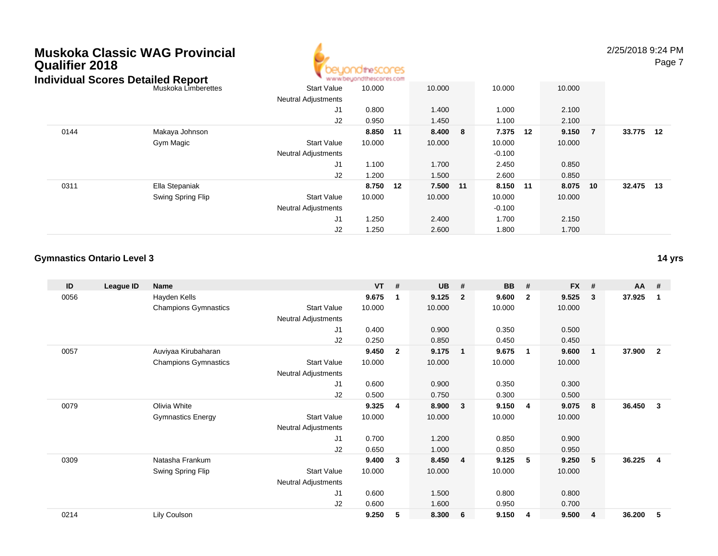# **Muskoka Classic WAG ProvincialQualifier 2018**



2/25/2018 9:24 PM

Page 7

|      | Individual Scores Detailed Report |                            | www.beyondthescores.com |    |        |                |    |        |                |           |  |
|------|-----------------------------------|----------------------------|-------------------------|----|--------|----------------|----|--------|----------------|-----------|--|
|      | Muskoka Limberettes               | <b>Start Value</b>         | 10.000                  |    | 10.000 | 10.000         |    | 10.000 |                |           |  |
|      |                                   | <b>Neutral Adjustments</b> |                         |    |        |                |    |        |                |           |  |
|      |                                   | J1                         | 0.800                   |    | 1.400  | 1.000          |    | 2.100  |                |           |  |
|      |                                   | J <sub>2</sub>             | 0.950                   |    | 1.450  | 1.100          |    | 2.100  |                |           |  |
| 0144 | Makaya Johnson                    |                            | 8.850                   | 11 | 8.400  | 7.375<br>- 8   | 12 | 9.150  | $\overline{7}$ | 33.775 12 |  |
|      | Gym Magic                         | <b>Start Value</b>         | 10.000                  |    | 10.000 | 10.000         |    | 10.000 |                |           |  |
|      |                                   | <b>Neutral Adjustments</b> |                         |    |        | $-0.100$       |    |        |                |           |  |
|      |                                   | J1                         | 1.100                   |    | 1.700  | 2.450          |    | 0.850  |                |           |  |
|      |                                   | J2                         | 1.200                   |    | 1.500  | 2.600          |    | 0.850  |                |           |  |
| 0311 | Ella Stepaniak                    |                            | 8.750 12                |    | 7.500  | 8.150<br>$-11$ | 11 | 8.075  | 10             | 32.475 13 |  |
|      | Swing Spring Flip                 | <b>Start Value</b>         | 10.000                  |    | 10.000 | 10.000         |    | 10.000 |                |           |  |
|      |                                   | <b>Neutral Adjustments</b> |                         |    |        | $-0.100$       |    |        |                |           |  |
|      |                                   | J1                         | 1.250                   |    | 2.400  | 1.700          |    | 2.150  |                |           |  |
|      |                                   | J2                         | 1.250                   |    | 2.600  | 1.800          |    | 1.700  |                |           |  |

#### **Gymnastics Ontario Level 3**

| ID   | League ID | <b>Name</b>                 |                            | <b>VT</b> | #            | <b>UB</b> | #                       | <b>BB</b> | #              | <b>FX</b> | #                       | <b>AA</b> | -#             |
|------|-----------|-----------------------------|----------------------------|-----------|--------------|-----------|-------------------------|-----------|----------------|-----------|-------------------------|-----------|----------------|
| 0056 |           | Hayden Kells                |                            | 9.675     | -1           | 9.125     | $\overline{2}$          | 9.600     | $\overline{2}$ | 9.525     | 3                       | 37.925    | -1             |
|      |           | <b>Champions Gymnastics</b> | <b>Start Value</b>         | 10.000    |              | 10.000    |                         | 10.000    |                | 10.000    |                         |           |                |
|      |           |                             | <b>Neutral Adjustments</b> |           |              |           |                         |           |                |           |                         |           |                |
|      |           |                             | J1                         | 0.400     |              | 0.900     |                         | 0.350     |                | 0.500     |                         |           |                |
|      |           |                             | J2                         | 0.250     |              | 0.850     |                         | 0.450     |                | 0.450     |                         |           |                |
| 0057 |           | Auviyaa Kirubaharan         |                            | 9.450     | $\mathbf{2}$ | 9.175     | $\overline{\mathbf{1}}$ | 9.675     | $\mathbf{1}$   | 9.600     | $\overline{\mathbf{1}}$ | 37.900    | $\overline{2}$ |
|      |           | <b>Champions Gymnastics</b> | <b>Start Value</b>         | 10.000    |              | 10.000    |                         | 10.000    |                | 10.000    |                         |           |                |
|      |           |                             | Neutral Adjustments        |           |              |           |                         |           |                |           |                         |           |                |
|      |           |                             | J <sub>1</sub>             | 0.600     |              | 0.900     |                         | 0.350     |                | 0.300     |                         |           |                |
|      |           |                             | J <sub>2</sub>             | 0.500     |              | 0.750     |                         | 0.300     |                | 0.500     |                         |           |                |
| 0079 |           | Olivia White                |                            | 9.325     | 4            | 8.900     | $\overline{\mathbf{3}}$ | 9.150     | 4              | 9.075     | 8                       | 36.450    | $\mathbf{3}$   |
|      |           | <b>Gymnastics Energy</b>    | <b>Start Value</b>         | 10.000    |              | 10.000    |                         | 10.000    |                | 10.000    |                         |           |                |
|      |           |                             | Neutral Adjustments        |           |              |           |                         |           |                |           |                         |           |                |
|      |           |                             | J <sub>1</sub>             | 0.700     |              | 1.200     |                         | 0.850     |                | 0.900     |                         |           |                |
|      |           |                             | J <sub>2</sub>             | 0.650     |              | 1.000     |                         | 0.850     |                | 0.950     |                         |           |                |
| 0309 |           | Natasha Frankum             |                            | 9.400     | 3            | 8.450     | $\overline{4}$          | 9.125     | 5              | 9.250     | 5                       | 36.225    | $\overline{4}$ |
|      |           | Swing Spring Flip           | <b>Start Value</b>         | 10.000    |              | 10.000    |                         | 10.000    |                | 10.000    |                         |           |                |
|      |           |                             | Neutral Adjustments        |           |              |           |                         |           |                |           |                         |           |                |
|      |           |                             | J <sub>1</sub>             | 0.600     |              | 1.500     |                         | 0.800     |                | 0.800     |                         |           |                |
|      |           |                             | J <sub>2</sub>             | 0.600     |              | 1.600     |                         | 0.950     |                | 0.700     |                         |           |                |
| 0214 |           | Lily Coulson                |                            | 9.250     | 5            | 8.300     | 6                       | 9.150     | 4              | 9.500     | $\overline{4}$          | 36.200    | 5              |

**14 yrs**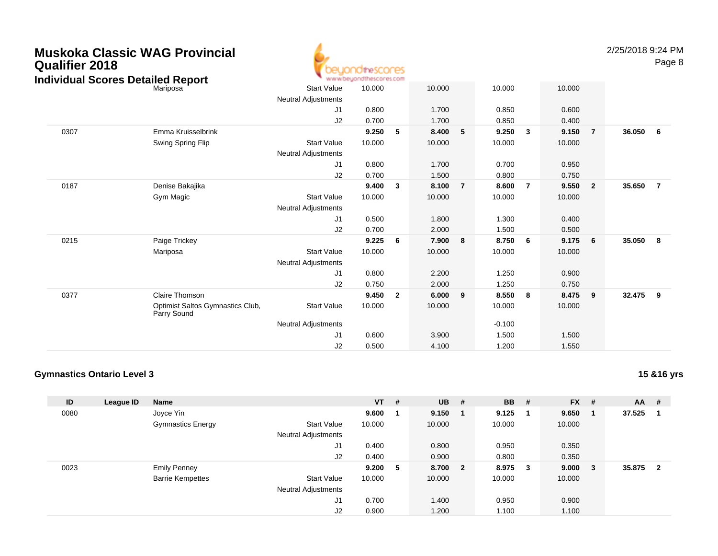| <b>Qualifier 2018</b><br><b>Individual Scores Detailed Report</b> | Muskoka Classic WAG Provincial                  |                            | beyondthescores<br>www.beyondthescores.com |                         |        |                |          |                |        |                | 2/25/2018 9:24 PM | Page 8         |
|-------------------------------------------------------------------|-------------------------------------------------|----------------------------|--------------------------------------------|-------------------------|--------|----------------|----------|----------------|--------|----------------|-------------------|----------------|
|                                                                   | Mariposa                                        | <b>Start Value</b>         | 10.000                                     |                         | 10.000 |                | 10.000   |                | 10.000 |                |                   |                |
|                                                                   |                                                 | <b>Neutral Adjustments</b> |                                            |                         |        |                |          |                |        |                |                   |                |
|                                                                   |                                                 | J <sub>1</sub>             | 0.800                                      |                         | 1.700  |                | 0.850    |                | 0.600  |                |                   |                |
|                                                                   |                                                 | J2                         | 0.700                                      |                         | 1.700  |                | 0.850    |                | 0.400  |                |                   |                |
| 0307                                                              | Emma Kruisselbrink                              |                            | 9.250                                      | -5                      | 8.400  | 5              | 9.250    | $\mathbf{3}$   | 9.150  | $\overline{7}$ | 36.050            | 6              |
|                                                                   | Swing Spring Flip                               | <b>Start Value</b>         | 10.000                                     |                         | 10.000 |                | 10.000   |                | 10.000 |                |                   |                |
|                                                                   |                                                 | <b>Neutral Adjustments</b> |                                            |                         |        |                |          |                |        |                |                   |                |
|                                                                   |                                                 | J1                         | 0.800                                      |                         | 1.700  |                | 0.700    |                | 0.950  |                |                   |                |
|                                                                   |                                                 | J2                         | 0.700                                      |                         | 1.500  |                | 0.800    |                | 0.750  |                |                   |                |
| 0187                                                              | Denise Bakajika                                 |                            | 9.400                                      | $\overline{\mathbf{3}}$ | 8.100  | $\overline{7}$ | 8.600    | $\overline{7}$ | 9.550  | $\overline{2}$ | 35.650            | $\overline{7}$ |
|                                                                   | Gym Magic                                       | <b>Start Value</b>         | 10.000                                     |                         | 10.000 |                | 10.000   |                | 10.000 |                |                   |                |
|                                                                   |                                                 | <b>Neutral Adjustments</b> |                                            |                         |        |                |          |                |        |                |                   |                |
|                                                                   |                                                 | J1                         | 0.500                                      |                         | 1.800  |                | 1.300    |                | 0.400  |                |                   |                |
|                                                                   |                                                 | J <sub>2</sub>             | 0.700                                      |                         | 2.000  |                | 1.500    |                | 0.500  |                |                   |                |
| 0215                                                              | Paige Trickey                                   |                            | 9.225                                      | - 6                     | 7.900  | 8              | 8.750    | - 6            | 9.175  | 6              | 35.050            | - 8            |
|                                                                   | Mariposa                                        | <b>Start Value</b>         | 10.000                                     |                         | 10.000 |                | 10.000   |                | 10.000 |                |                   |                |
|                                                                   |                                                 | <b>Neutral Adjustments</b> |                                            |                         |        |                |          |                |        |                |                   |                |
|                                                                   |                                                 | J1                         | 0.800                                      |                         | 2.200  |                | 1.250    |                | 0.900  |                |                   |                |
|                                                                   |                                                 | J2                         | 0.750                                      |                         | 2.000  |                | 1.250    |                | 0.750  |                |                   |                |
| 0377                                                              | <b>Claire Thomson</b>                           |                            | 9.450                                      | $\overline{\mathbf{2}}$ | 6.000  | 9              | 8.550    | - 8            | 8.475  | 9              | 32.475            | 9              |
|                                                                   | Optimist Saltos Gymnastics Club,<br>Parry Sound | <b>Start Value</b>         | 10.000                                     |                         | 10.000 |                | 10.000   |                | 10.000 |                |                   |                |
|                                                                   |                                                 | <b>Neutral Adjustments</b> |                                            |                         |        |                | $-0.100$ |                |        |                |                   |                |
|                                                                   |                                                 | J1                         | 0.600                                      |                         | 3.900  |                | 1.500    |                | 1.500  |                |                   |                |
|                                                                   |                                                 | J2                         | 0.500                                      |                         | 4.100  |                | 1.200    |                | 1.550  |                |                   |                |

#### **Gymnastics Ontario Level 3**

| ID   | League ID | <b>Name</b>              |                            | $VT$ # |    | <b>UB</b> | # | <b>BB</b> | #  | <b>FX</b> | # | $AA$ # |                         |
|------|-----------|--------------------------|----------------------------|--------|----|-----------|---|-----------|----|-----------|---|--------|-------------------------|
| 0080 |           | Joyce Yin                |                            | 9.600  |    | 9.150     |   | 9.125     |    | 9.650     |   | 37.525 |                         |
|      |           | <b>Gymnastics Energy</b> | <b>Start Value</b>         | 10.000 |    | 10.000    |   | 10.000    |    | 10.000    |   |        |                         |
|      |           |                          | <b>Neutral Adjustments</b> |        |    |           |   |           |    |           |   |        |                         |
|      |           |                          | J1                         | 0.400  |    | 0.800     |   | 0.950     |    | 0.350     |   |        |                         |
|      |           |                          | J2                         | 0.400  |    | 0.900     |   | 0.800     |    | 0.350     |   |        |                         |
| 0023 |           | <b>Emily Penney</b>      |                            | 9.200  | -5 | 8.700 2   |   | 8.975     | -3 | 9.000     | 3 | 35.875 | $\overline{\mathbf{2}}$ |
|      |           | <b>Barrie Kempettes</b>  | <b>Start Value</b>         | 10.000 |    | 10.000    |   | 10.000    |    | 10.000    |   |        |                         |
|      |           |                          | <b>Neutral Adjustments</b> |        |    |           |   |           |    |           |   |        |                         |
|      |           |                          | J1                         | 0.700  |    | 1.400     |   | 0.950     |    | 0.900     |   |        |                         |
|      |           |                          | J2                         | 0.900  |    | 1.200     |   | 1.100     |    | 1.100     |   |        |                         |

**15 &16 yrs**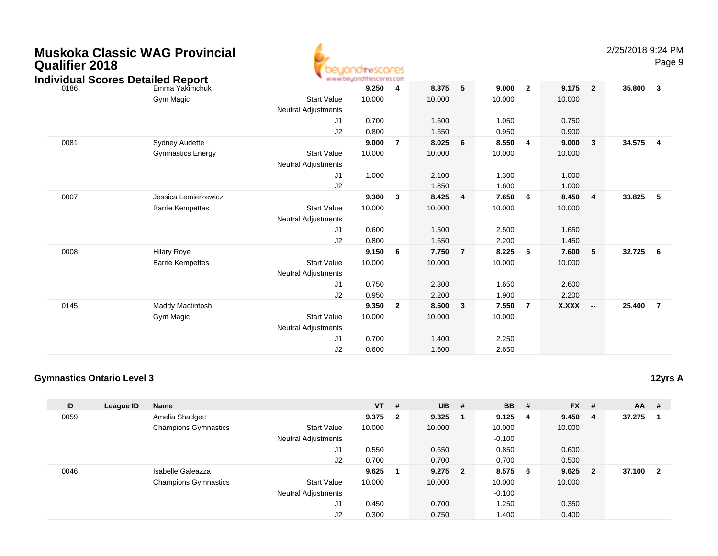| <b>Qualifier 2018</b> | <b>Muskoka Classic WAG Provincial</b><br><b>Individual Scores Detailed Report</b> |                                                  | euondthescores<br>www.beyondthescores.com |                |        |                |        |                |        |                          | 2/25/2018 9:24 | Pag            |
|-----------------------|-----------------------------------------------------------------------------------|--------------------------------------------------|-------------------------------------------|----------------|--------|----------------|--------|----------------|--------|--------------------------|----------------|----------------|
| 0186                  | Emma Yakimchuk                                                                    |                                                  | 9.250                                     | 4              | 8.375  | 5              | 9.000  | $\overline{2}$ | 9.175  | $\overline{2}$           | 35.800         | $\mathbf{3}$   |
|                       | Gym Magic                                                                         | <b>Start Value</b><br><b>Neutral Adjustments</b> | 10.000                                    |                | 10.000 |                | 10.000 |                | 10.000 |                          |                |                |
|                       |                                                                                   | J1                                               | 0.700                                     |                | 1.600  |                | 1.050  |                | 0.750  |                          |                |                |
|                       |                                                                                   | J2                                               | 0.800                                     |                | 1.650  |                | 0.950  |                | 0.900  |                          |                |                |
| 0081                  | <b>Sydney Audette</b>                                                             |                                                  | 9.000                                     | 7              | 8.025  | 6              | 8.550  | 4              | 9.000  | 3                        | 34.575         | $\overline{4}$ |
|                       | <b>Gymnastics Energy</b>                                                          | <b>Start Value</b><br><b>Neutral Adjustments</b> | 10.000                                    |                | 10.000 |                | 10.000 |                | 10.000 |                          |                |                |
|                       |                                                                                   | J1                                               | 1.000                                     |                | 2.100  |                | 1.300  |                | 1.000  |                          |                |                |
|                       |                                                                                   | J2                                               |                                           |                | 1.850  |                | 1.600  |                | 1.000  |                          |                |                |
| 0007                  | Jessica Lemierzewicz                                                              |                                                  | 9.300                                     | $\mathbf{3}$   | 8.425  | 4              | 7.650  | 6              | 8.450  | $\overline{\mathbf{4}}$  | 33.825         | 5              |
|                       | <b>Barrie Kempettes</b>                                                           | <b>Start Value</b>                               | 10.000                                    |                | 10.000 |                | 10.000 |                | 10.000 |                          |                |                |
|                       |                                                                                   | <b>Neutral Adjustments</b>                       |                                           |                |        |                |        |                |        |                          |                |                |
|                       |                                                                                   | J1                                               | 0.600                                     |                | 1.500  |                | 2.500  |                | 1.650  |                          |                |                |
|                       |                                                                                   | J2                                               | 0.800                                     |                | 1.650  |                | 2.200  |                | 1.450  |                          |                |                |
| 0008                  | <b>Hilary Roye</b>                                                                |                                                  | 9.150                                     | 6              | 7.750  | $\overline{7}$ | 8.225  | 5              | 7.600  | 5                        | 32.725         | 6              |
|                       | <b>Barrie Kempettes</b>                                                           | <b>Start Value</b>                               | 10.000                                    |                | 10.000 |                | 10.000 |                | 10.000 |                          |                |                |
|                       |                                                                                   | <b>Neutral Adjustments</b>                       |                                           |                |        |                |        |                |        |                          |                |                |
|                       |                                                                                   | J <sub>1</sub>                                   | 0.750                                     |                | 2.300  |                | 1.650  |                | 2.600  |                          |                |                |
|                       |                                                                                   | J2                                               | 0.950                                     |                | 2.200  |                | 1.900  |                | 2.200  |                          |                |                |
| 0145                  | Maddy Mactintosh                                                                  |                                                  | 9.350                                     | $\overline{2}$ | 8.500  | 3              | 7.550  | $\overline{7}$ | X.XXX  | $\overline{\phantom{a}}$ | 25.400         | $\overline{7}$ |
|                       | Gym Magic                                                                         | <b>Start Value</b>                               | 10.000                                    |                | 10.000 |                | 10.000 |                |        |                          |                |                |
|                       |                                                                                   | <b>Neutral Adjustments</b>                       |                                           |                |        |                |        |                |        |                          |                |                |
|                       |                                                                                   | J1                                               | 0.700                                     |                | 1.400  |                | 2.250  |                |        |                          |                |                |
|                       |                                                                                   | J2                                               | 0.600                                     |                | 1.600  |                | 2.650  |                |        |                          |                |                |

#### **Gymnastics Ontario Level 3**

| ID   | League ID | <b>Name</b>                 |                            | $VT$ # |                         | <b>UB</b> | - # | <b>BB</b> | #   | <b>FX</b> | #              | $AA$ # |                |
|------|-----------|-----------------------------|----------------------------|--------|-------------------------|-----------|-----|-----------|-----|-----------|----------------|--------|----------------|
| 0059 |           | Amelia Shadgett             |                            | 9.375  | $\overline{\mathbf{2}}$ | 9.325     |     | 9.125     | -4  | 9.450     | 4              | 37.275 |                |
|      |           | <b>Champions Gymnastics</b> | <b>Start Value</b>         | 10.000 |                         | 10.000    |     | 10.000    |     | 10.000    |                |        |                |
|      |           |                             | <b>Neutral Adjustments</b> |        |                         |           |     | $-0.100$  |     |           |                |        |                |
|      |           |                             | J1                         | 0.550  |                         | 0.650     |     | 0.850     |     | 0.600     |                |        |                |
|      |           |                             | J2                         | 0.700  |                         | 0.700     |     | 0.700     |     | 0.500     |                |        |                |
| 0046 |           | Isabelle Galeazza           |                            | 9.625  |                         | $9.275$ 2 |     | 8.575     | - 6 | 9.625     | $\overline{2}$ | 37.100 | $\overline{2}$ |
|      |           | <b>Champions Gymnastics</b> | <b>Start Value</b>         | 10.000 |                         | 10.000    |     | 10.000    |     | 10.000    |                |        |                |
|      |           |                             | <b>Neutral Adjustments</b> |        |                         |           |     | $-0.100$  |     |           |                |        |                |
|      |           |                             | J1                         | 0.450  |                         | 0.700     |     | 1.250     |     | 0.350     |                |        |                |
|      |           |                             | J2                         | 0.300  |                         | 0.750     |     | 1.400     |     | 0.400     |                |        |                |

2/25/2018 9:24 PM

Page 9

**12yrs A**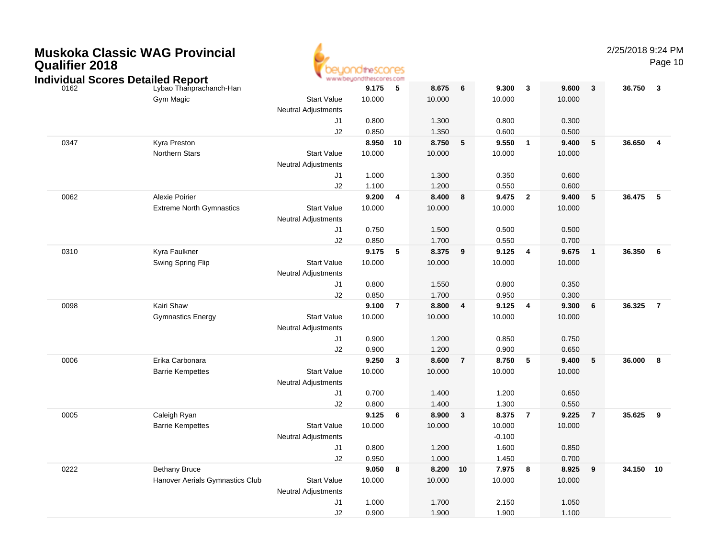| <b>Muskoka Classic WAG Provincial</b> |  |
|---------------------------------------|--|
| <b>Qualifier 2018</b>                 |  |



2/25/2018 9:24 PM

|      |                                                                     |                            | www.beyondthescores.com |                |        |                |          |                |        |                 |        |                |
|------|---------------------------------------------------------------------|----------------------------|-------------------------|----------------|--------|----------------|----------|----------------|--------|-----------------|--------|----------------|
| 0162 | <b>Individual Scores Detailed Report</b><br>Lybao Thanprachanch-Han |                            | 9.175                   | ${\bf 5}$      | 8.675  | 6              | 9.300    | $\mathbf{3}$   | 9.600  | $\mathbf{3}$    | 36.750 | $\mathbf{3}$   |
|      | Gym Magic                                                           | <b>Start Value</b>         | 10.000                  |                | 10.000 |                | 10.000   |                | 10.000 |                 |        |                |
|      |                                                                     | <b>Neutral Adjustments</b> |                         |                |        |                |          |                |        |                 |        |                |
|      |                                                                     | J <sub>1</sub>             | 0.800                   |                | 1.300  |                | 0.800    |                | 0.300  |                 |        |                |
|      |                                                                     | J2                         | 0.850                   |                | 1.350  |                | 0.600    |                | 0.500  |                 |        |                |
| 0347 | Kyra Preston                                                        |                            | 8.950                   | 10             | 8.750  | ${\bf 5}$      | 9.550    | $\mathbf{1}$   | 9.400  | ${\bf 5}$       | 36.650 | $\overline{4}$ |
|      | Northern Stars                                                      | <b>Start Value</b>         | 10.000                  |                | 10.000 |                | 10.000   |                | 10.000 |                 |        |                |
|      |                                                                     | <b>Neutral Adjustments</b> |                         |                |        |                |          |                |        |                 |        |                |
|      |                                                                     | J <sub>1</sub>             | 1.000                   |                | 1.300  |                | 0.350    |                | 0.600  |                 |        |                |
|      |                                                                     | J2                         | 1.100                   |                | 1.200  |                | 0.550    |                | 0.600  |                 |        |                |
| 0062 | <b>Alexie Poirier</b>                                               |                            | 9.200                   | $\overline{4}$ | 8.400  | 8              | 9.475    | $\overline{2}$ | 9.400  | $5\phantom{.0}$ | 36.475 | $-5$           |
|      | <b>Extreme North Gymnastics</b>                                     | <b>Start Value</b>         | 10.000                  |                | 10.000 |                | 10.000   |                | 10.000 |                 |        |                |
|      |                                                                     | <b>Neutral Adjustments</b> |                         |                |        |                |          |                |        |                 |        |                |
|      |                                                                     | J1                         | 0.750                   |                | 1.500  |                | 0.500    |                | 0.500  |                 |        |                |
|      |                                                                     | J2                         | 0.850                   |                | 1.700  |                | 0.550    |                | 0.700  |                 |        |                |
| 0310 | Kyra Faulkner                                                       |                            | 9.175                   | 5              | 8.375  | 9              | 9.125    | 4              | 9.675  | $\overline{1}$  | 36.350 | 6              |
|      | Swing Spring Flip                                                   | <b>Start Value</b>         | 10.000                  |                | 10.000 |                | 10.000   |                | 10.000 |                 |        |                |
|      |                                                                     | <b>Neutral Adjustments</b> |                         |                |        |                |          |                |        |                 |        |                |
|      |                                                                     | J <sub>1</sub>             | 0.800                   |                | 1.550  |                | 0.800    |                | 0.350  |                 |        |                |
|      |                                                                     | J2                         | 0.850                   |                | 1.700  |                | 0.950    |                | 0.300  |                 |        |                |
| 0098 | Kairi Shaw                                                          |                            | 9.100                   | $\overline{7}$ | 8.800  | 4              | 9.125    | 4              | 9.300  | 6               | 36.325 | $\overline{7}$ |
|      | <b>Gymnastics Energy</b>                                            | <b>Start Value</b>         | 10.000                  |                | 10.000 |                | 10.000   |                | 10.000 |                 |        |                |
|      |                                                                     | <b>Neutral Adjustments</b> |                         |                |        |                |          |                |        |                 |        |                |
|      |                                                                     | J1                         | 0.900                   |                | 1.200  |                | 0.850    |                | 0.750  |                 |        |                |
|      |                                                                     | J2                         | 0.900                   |                | 1.200  |                | 0.900    |                | 0.650  |                 |        |                |
| 0006 | Erika Carbonara                                                     |                            | 9.250                   | $\mathbf{3}$   | 8.600  | $\overline{7}$ | 8.750    | 5              | 9.400  | $\sqrt{5}$      | 36.000 | 8              |
|      | <b>Barrie Kempettes</b>                                             | <b>Start Value</b>         | 10.000                  |                | 10.000 |                | 10.000   |                | 10.000 |                 |        |                |
|      |                                                                     | <b>Neutral Adjustments</b> |                         |                |        |                |          |                |        |                 |        |                |
|      |                                                                     | J1                         | 0.700                   |                | 1.400  |                | 1.200    |                | 0.650  |                 |        |                |
|      |                                                                     | J2                         | 0.800                   |                | 1.400  |                | 1.300    |                | 0.550  |                 |        |                |
| 0005 | Caleigh Ryan                                                        |                            | 9.125                   | 6              | 8.900  | $\mathbf{3}$   | 8.375    | $\overline{7}$ | 9.225  | $\overline{7}$  | 35.625 | 9              |
|      | <b>Barrie Kempettes</b>                                             | <b>Start Value</b>         | 10.000                  |                | 10.000 |                | 10.000   |                | 10.000 |                 |        |                |
|      |                                                                     | <b>Neutral Adjustments</b> |                         |                |        |                | $-0.100$ |                |        |                 |        |                |
|      |                                                                     | J1                         | 0.800                   |                | 1.200  |                | 1.600    |                | 0.850  |                 |        |                |
|      |                                                                     | J2                         | 0.950                   |                | 1.000  |                | 1.450    |                | 0.700  |                 |        |                |
| 0222 | <b>Bethany Bruce</b>                                                |                            | 9.050                   | 8              | 8.200  | 10             | 7.975    | 8              | 8.925  | 9               | 34.150 | 10             |
|      | Hanover Aerials Gymnastics Club                                     | <b>Start Value</b>         | 10.000                  |                | 10.000 |                | 10.000   |                | 10.000 |                 |        |                |
|      |                                                                     | <b>Neutral Adjustments</b> |                         |                |        |                |          |                |        |                 |        |                |
|      |                                                                     | J <sub>1</sub>             | 1.000                   |                | 1.700  |                | 2.150    |                | 1.050  |                 |        |                |
|      |                                                                     | J2                         | 0.900                   |                | 1.900  |                | 1.900    |                | 1.100  |                 |        |                |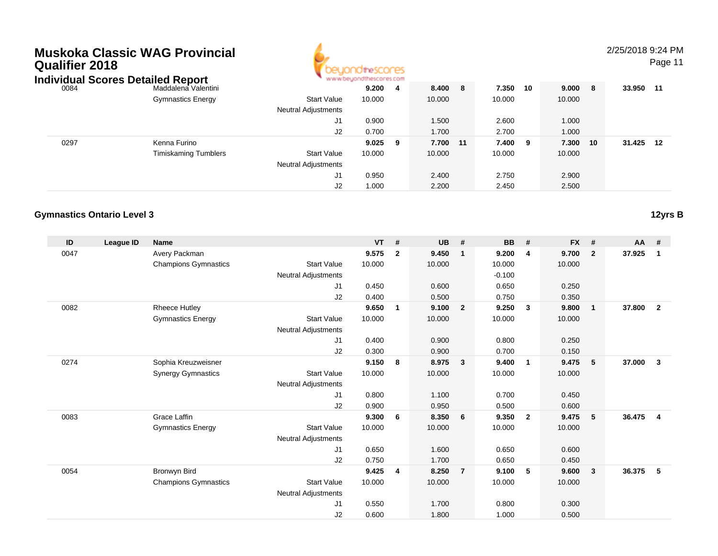| Qualifier 2018 | Muskoka Classic WAG Provincial<br><b>Individual Scores Detailed Report</b><br>Maddalena Valentini<br>0084 |                            | dtheSCONES      |     |        |    |        |     |         |     | 2/25/2018 9:24 | Page |
|----------------|-----------------------------------------------------------------------------------------------------------|----------------------------|-----------------|-----|--------|----|--------|-----|---------|-----|----------------|------|
|                |                                                                                                           |                            | $9.200 \quad 4$ |     | 8.400  | -8 | 7.350  | 10  | 9.000 8 |     | 33.950         | - 11 |
|                | <b>Gymnastics Energy</b>                                                                                  | <b>Start Value</b>         | 10.000          |     | 10.000 |    | 10.000 |     | 10.000  |     |                |      |
|                |                                                                                                           | <b>Neutral Adjustments</b> |                 |     |        |    |        |     |         |     |                |      |
|                |                                                                                                           | J1                         | 0.900           |     | 1.500  |    | 2.600  |     | 1.000   |     |                |      |
|                |                                                                                                           | J2                         | 0.700           |     | 1.700  |    | 2.700  |     | 1.000   |     |                |      |
| 0297           | Kenna Furino                                                                                              |                            | 9.025           | - 9 | 7.700  | 11 | 7.400  | - 9 | 7.300   | -10 | 31.425         | 12   |
|                | <b>Timiskaming Tumblers</b>                                                                               | <b>Start Value</b>         | 10.000          |     | 10.000 |    | 10.000 |     | 10.000  |     |                |      |
|                |                                                                                                           | <b>Neutral Adjustments</b> |                 |     |        |    |        |     |         |     |                |      |
|                |                                                                                                           | J1                         | 0.950           |     | 2.400  |    | 2.750  |     | 2.900   |     |                |      |
|                |                                                                                                           | J2                         | 1.000           |     | 2.200  |    | 2.450  |     | 2.500   |     |                |      |

A

1.000 2.200 2.450 2.500

#### **Gymnastics Ontario Level 3**

| ID   | League ID | <b>Name</b>                 |                            | <b>VT</b> | #            | <b>UB</b> | #                | <b>BB</b> | #              | <b>FX</b> | #                       | $AA$ # |                |
|------|-----------|-----------------------------|----------------------------|-----------|--------------|-----------|------------------|-----------|----------------|-----------|-------------------------|--------|----------------|
| 0047 |           | Avery Packman               |                            | 9.575     | $\mathbf{2}$ | 9.450     | $\mathbf 1$      | 9.200     | 4              | 9.700     | $\overline{2}$          | 37.925 | $\mathbf{1}$   |
|      |           | <b>Champions Gymnastics</b> | <b>Start Value</b>         | 10.000    |              | 10.000    |                  | 10.000    |                | 10.000    |                         |        |                |
|      |           |                             | <b>Neutral Adjustments</b> |           |              |           |                  | $-0.100$  |                |           |                         |        |                |
|      |           |                             | J1                         | 0.450     |              | 0.600     |                  | 0.650     |                | 0.250     |                         |        |                |
|      |           |                             | J2                         | 0.400     |              | 0.500     |                  | 0.750     |                | 0.350     |                         |        |                |
| 0082 |           | <b>Rheece Hutley</b>        |                            | 9.650     | 1            | 9.100     | $\overline{2}$   | 9.250     | $\mathbf{3}$   | 9.800     | $\overline{\mathbf{1}}$ | 37,800 | $\mathbf{2}$   |
|      |           | <b>Gymnastics Energy</b>    | <b>Start Value</b>         | 10.000    |              | 10.000    |                  | 10.000    |                | 10.000    |                         |        |                |
|      |           |                             | <b>Neutral Adjustments</b> |           |              |           |                  |           |                |           |                         |        |                |
|      |           |                             | J1                         | 0.400     |              | 0.900     |                  | 0.800     |                | 0.250     |                         |        |                |
|      |           |                             | J2                         | 0.300     |              | 0.900     |                  | 0.700     |                | 0.150     |                         |        |                |
| 0274 |           | Sophia Kreuzweisner         |                            | 9.150     | 8            | 8.975     | 3                | 9.400     | $\mathbf{1}$   | 9.475     | 5                       | 37.000 | $\mathbf{3}$   |
|      |           | <b>Synergy Gymnastics</b>   | <b>Start Value</b>         | 10.000    |              | 10.000    |                  | 10.000    |                | 10.000    |                         |        |                |
|      |           |                             | <b>Neutral Adjustments</b> |           |              |           |                  |           |                |           |                         |        |                |
|      |           |                             | J1                         | 0.800     |              | 1.100     |                  | 0.700     |                | 0.450     |                         |        |                |
|      |           |                             | J2                         | 0.900     |              | 0.950     |                  | 0.500     |                | 0.600     |                         |        |                |
| 0083 |           | Grace Laffin                |                            | 9.300     | 6            | 8.350     | $6\phantom{.0}6$ | 9.350     | $\overline{2}$ | 9.475     | - 5                     | 36.475 | $\overline{4}$ |
|      |           | <b>Gymnastics Energy</b>    | <b>Start Value</b>         | 10.000    |              | 10.000    |                  | 10.000    |                | 10.000    |                         |        |                |
|      |           |                             | Neutral Adjustments        |           |              |           |                  |           |                |           |                         |        |                |
|      |           |                             | J1                         | 0.650     |              | 1.600     |                  | 0.650     |                | 0.600     |                         |        |                |
|      |           |                             | J2                         | 0.750     |              | 1.700     |                  | 0.650     |                | 0.450     |                         |        |                |
| 0054 |           | Bronwyn Bird                |                            | 9.425     | 4            | 8.250     | $\overline{7}$   | 9.100     | 5              | 9.600     | $\mathbf{3}$            | 36.375 | 5              |
|      |           | <b>Champions Gymnastics</b> | <b>Start Value</b>         | 10.000    |              | 10.000    |                  | 10.000    |                | 10.000    |                         |        |                |
|      |           |                             | <b>Neutral Adjustments</b> |           |              |           |                  |           |                |           |                         |        |                |
|      |           |                             | J1                         | 0.550     |              | 1.700     |                  | 0.800     |                | 0.300     |                         |        |                |
|      |           |                             | J2                         | 0.600     |              | 1.800     |                  | 1.000     |                | 0.500     |                         |        |                |

2/25/2018 9:24 PM

Page 11

**12yrs B**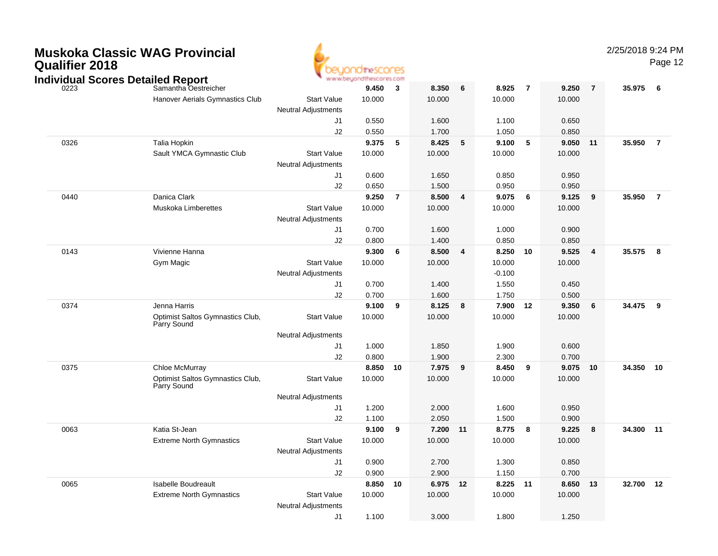## **Muskoka Classic WAG ProvincialQualifier 2018**



|      | Individual Scores Detailed Report |                                                 | ◥                          | www.beyondthescores.com |                |        |    |          |                |          |                |           |                |
|------|-----------------------------------|-------------------------------------------------|----------------------------|-------------------------|----------------|--------|----|----------|----------------|----------|----------------|-----------|----------------|
| 0223 |                                   | Samantha Oestreicher                            |                            | 9.450                   | $\mathbf{3}$   | 8.350  | 6  | 8.925    | $\overline{7}$ | 9.250    | $\overline{7}$ | 35.975    | 6              |
|      |                                   | Hanover Aerials Gymnastics Club                 | <b>Start Value</b>         | 10.000                  |                | 10.000 |    | 10.000   |                | 10.000   |                |           |                |
|      |                                   |                                                 | <b>Neutral Adjustments</b> |                         |                |        |    |          |                |          |                |           |                |
|      |                                   |                                                 | J1                         | 0.550                   |                | 1.600  |    | 1.100    |                | 0.650    |                |           |                |
|      |                                   |                                                 | J2                         | 0.550                   |                | 1.700  |    | 1.050    |                | 0.850    |                |           |                |
| 0326 |                                   | Talia Hopkin                                    |                            | 9.375                   | 5              | 8.425  | 5  | 9.100    | 5              | 9.050    | $-11$          | 35.950    | $\overline{7}$ |
|      |                                   | Sault YMCA Gymnastic Club                       | <b>Start Value</b>         | 10.000                  |                | 10.000 |    | 10.000   |                | 10.000   |                |           |                |
|      |                                   |                                                 | <b>Neutral Adjustments</b> |                         |                |        |    |          |                |          |                |           |                |
|      |                                   |                                                 | J1                         | 0.600                   |                | 1.650  |    | 0.850    |                | 0.950    |                |           |                |
|      |                                   |                                                 | J2                         | 0.650                   |                | 1.500  |    | 0.950    |                | 0.950    |                |           |                |
| 0440 |                                   | Danica Clark                                    |                            | 9.250                   | $\overline{7}$ | 8.500  | 4  | 9.075    | 6              | 9.125    | 9              | 35.950    | $\overline{7}$ |
|      |                                   | Muskoka Limberettes                             | <b>Start Value</b>         | 10.000                  |                | 10.000 |    | 10.000   |                | 10.000   |                |           |                |
|      |                                   |                                                 | <b>Neutral Adjustments</b> |                         |                |        |    |          |                |          |                |           |                |
|      |                                   |                                                 | J1                         | 0.700                   |                | 1.600  |    | 1.000    |                | 0.900    |                |           |                |
|      |                                   |                                                 | J2                         | 0.800                   |                | 1.400  |    | 0.850    |                | 0.850    |                |           |                |
| 0143 |                                   | Vivienne Hanna                                  |                            | 9.300                   | 6              | 8.500  | 4  | 8.250    | 10             | 9.525    | 4              | 35.575    | 8              |
|      |                                   | Gym Magic                                       | <b>Start Value</b>         | 10.000                  |                | 10.000 |    | 10.000   |                | 10.000   |                |           |                |
|      |                                   |                                                 | <b>Neutral Adjustments</b> |                         |                |        |    | $-0.100$ |                |          |                |           |                |
|      |                                   |                                                 | J1                         | 0.700                   |                | 1.400  |    | 1.550    |                | 0.450    |                |           |                |
|      |                                   |                                                 | J2                         | 0.700                   |                | 1.600  |    | 1.750    |                | 0.500    |                |           |                |
| 0374 |                                   | Jenna Harris                                    |                            | 9.100                   | 9              | 8.125  | 8  | 7.900    | 12             | 9.350    | 6              | 34.475    | 9              |
|      |                                   | Optimist Saltos Gymnastics Club,<br>Parry Sound | <b>Start Value</b>         | 10.000                  |                | 10.000 |    | 10.000   |                | 10.000   |                |           |                |
|      |                                   |                                                 | <b>Neutral Adjustments</b> |                         |                |        |    |          |                |          |                |           |                |
|      |                                   |                                                 | J1                         | 1.000                   |                | 1.850  |    | 1.900    |                | 0.600    |                |           |                |
|      |                                   |                                                 | J2                         | 0.800                   |                | 1.900  |    | 2.300    |                | 0.700    |                |           |                |
| 0375 |                                   | Chloe McMurray                                  |                            | 8.850                   | 10             | 7.975  | 9  | 8.450    | 9              | 9.075 10 |                | 34.350    | 10             |
|      |                                   | Optimist Saltos Gymnastics Club,<br>Parry Sound | <b>Start Value</b>         | 10.000                  |                | 10.000 |    | 10.000   |                | 10.000   |                |           |                |
|      |                                   |                                                 | <b>Neutral Adjustments</b> |                         |                |        |    |          |                |          |                |           |                |
|      |                                   |                                                 | J1                         | 1.200                   |                | 2.000  |    | 1.600    |                | 0.950    |                |           |                |
|      |                                   |                                                 | J2                         | 1.100                   |                | 2.050  |    | 1.500    |                | 0.900    |                |           |                |
| 0063 |                                   | Katia St-Jean                                   |                            | 9.100                   | 9              | 7.200  | 11 | 8.775    | 8              | 9.225    | 8              | 34.300 11 |                |
|      |                                   | <b>Extreme North Gymnastics</b>                 | <b>Start Value</b>         | 10.000                  |                | 10.000 |    | 10.000   |                | 10.000   |                |           |                |
|      |                                   |                                                 | <b>Neutral Adjustments</b> |                         |                |        |    |          |                |          |                |           |                |
|      |                                   |                                                 | J1                         | 0.900                   |                | 2.700  |    | 1.300    |                | 0.850    |                |           |                |
|      |                                   |                                                 | J2                         | 0.900                   |                | 2.900  |    | 1.150    |                | 0.700    |                |           |                |
| 0065 |                                   | <b>Isabelle Boudreault</b>                      |                            | 8.850                   | 10             | 6.975  | 12 | 8.225 11 |                | 8.650    | 13             | 32.700    | 12             |
|      |                                   | <b>Extreme North Gymnastics</b>                 | <b>Start Value</b>         | 10.000                  |                | 10.000 |    | 10.000   |                | 10.000   |                |           |                |
|      |                                   |                                                 | <b>Neutral Adjustments</b> |                         |                |        |    |          |                |          |                |           |                |
|      |                                   |                                                 | J <sub>1</sub>             | 1.100                   |                | 3.000  |    | 1.800    |                | 1.250    |                |           |                |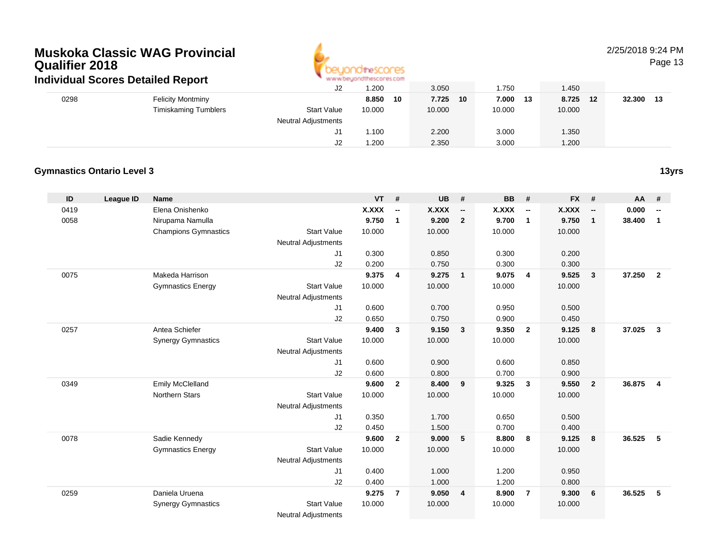

### 2/25/2018 9:24 PM

Page 13

| Individual Scores Detailed Report |                          |                            |             |                                   |             |                            |                |
|-----------------------------------|--------------------------|----------------------------|-------------|-----------------------------------|-------------|----------------------------|----------------|
|                                   |                          | J2                         | .200        | 3.050                             | .750        | 1.450                      |                |
| 0298                              | <b>Felicity Montminy</b> |                            | 8.850<br>10 | 7.725<br>10                       | 7.000<br>13 | 8.725<br>$12 \overline{ }$ | 32.300<br>- 13 |
|                                   | Timiskaming Tumblers     | <b>Start Value</b>         | 10.000      | 10.000                            | 10.000      | 10.000                     |                |
|                                   |                          | <b>Neutral Adjustments</b> |             |                                   |             |                            |                |
|                                   |                          | J1                         | 1.100       | 2.200                             | 3.000       | 1.350                      |                |
|                                   |                          | J2                         | 1.200       | 2.350                             | 3.000       | 1.200                      |                |
|                                   |                          |                            |             | ALALAM DIGMANI KATUNIAN DI ALAMIT |             |                            |                |

#### **Gymnastics Ontario Level 3**

| ID   | <b>League ID</b> | <b>Name</b>                 |                            | <b>VT</b>    | #                        | <b>UB</b> | #                        | <b>BB</b> | #                        | <b>FX</b> | #                        | <b>AA</b> | #                        |
|------|------------------|-----------------------------|----------------------------|--------------|--------------------------|-----------|--------------------------|-----------|--------------------------|-----------|--------------------------|-----------|--------------------------|
| 0419 |                  | Elena Onishenko             |                            | <b>X.XXX</b> | $\overline{\phantom{a}}$ | X.XXX     | $\overline{\phantom{a}}$ | X.XXX     | $\overline{\phantom{a}}$ | X.XXX     | $\overline{\phantom{a}}$ | 0.000     | $\overline{\phantom{a}}$ |
| 0058 |                  | Nirupama Namulla            |                            | 9.750        | $\mathbf{1}$             | 9.200     | $\overline{2}$           | 9.700     | $\overline{1}$           | 9.750     | $\mathbf{1}$             | 38.400    | $\mathbf{1}$             |
|      |                  | <b>Champions Gymnastics</b> | <b>Start Value</b>         | 10.000       |                          | 10.000    |                          | 10.000    |                          | 10.000    |                          |           |                          |
|      |                  |                             | <b>Neutral Adjustments</b> |              |                          |           |                          |           |                          |           |                          |           |                          |
|      |                  |                             | J1                         | 0.300        |                          | 0.850     |                          | 0.300     |                          | 0.200     |                          |           |                          |
|      |                  |                             | J2                         | 0.200        |                          | 0.750     |                          | 0.300     |                          | 0.300     |                          |           |                          |
| 0075 |                  | Makeda Harrison             |                            | 9.375        | 4                        | 9.275     | $\overline{1}$           | 9.075     | $\overline{4}$           | 9.525     | 3                        | 37.250    | $\overline{2}$           |
|      |                  | <b>Gymnastics Energy</b>    | <b>Start Value</b>         | 10.000       |                          | 10.000    |                          | 10.000    |                          | 10.000    |                          |           |                          |
|      |                  |                             | <b>Neutral Adjustments</b> |              |                          |           |                          |           |                          |           |                          |           |                          |
|      |                  |                             | J1                         | 0.600        |                          | 0.700     |                          | 0.950     |                          | 0.500     |                          |           |                          |
|      |                  |                             | J2                         | 0.650        |                          | 0.750     |                          | 0.900     |                          | 0.450     |                          |           |                          |
| 0257 |                  | Antea Schiefer              |                            | 9.400        | $\mathbf{3}$             | 9.150     | $\overline{\mathbf{3}}$  | 9.350     | $\overline{2}$           | 9.125     | 8                        | 37.025    | $\mathbf{3}$             |
|      |                  | <b>Synergy Gymnastics</b>   | <b>Start Value</b>         | 10.000       |                          | 10.000    |                          | 10.000    |                          | 10.000    |                          |           |                          |
|      |                  |                             | Neutral Adjustments        |              |                          |           |                          |           |                          |           |                          |           |                          |
|      |                  |                             | J1                         | 0.600        |                          | 0.900     |                          | 0.600     |                          | 0.850     |                          |           |                          |
|      |                  |                             | J2                         | 0.600        |                          | 0.800     |                          | 0.700     |                          | 0.900     |                          |           |                          |
| 0349 |                  | <b>Emily McClelland</b>     |                            | 9.600        | $\mathbf{2}$             | 8.400     | 9                        | 9.325     | $\mathbf{3}$             | 9.550     | $\overline{2}$           | 36.875    | $\overline{4}$           |
|      |                  | <b>Northern Stars</b>       | <b>Start Value</b>         | 10.000       |                          | 10.000    |                          | 10.000    |                          | 10.000    |                          |           |                          |
|      |                  |                             | <b>Neutral Adjustments</b> |              |                          |           |                          |           |                          |           |                          |           |                          |
|      |                  |                             | J1                         | 0.350        |                          | 1.700     |                          | 0.650     |                          | 0.500     |                          |           |                          |
|      |                  |                             | J2                         | 0.450        |                          | 1.500     |                          | 0.700     |                          | 0.400     |                          |           |                          |
| 0078 |                  | Sadie Kennedy               |                            | 9.600        | $\overline{2}$           | 9.000     | 5                        | 8.800     | 8                        | 9.125     | 8                        | 36.525    | 5                        |
|      |                  | <b>Gymnastics Energy</b>    | <b>Start Value</b>         | 10.000       |                          | 10.000    |                          | 10.000    |                          | 10.000    |                          |           |                          |
|      |                  |                             | <b>Neutral Adjustments</b> |              |                          |           |                          |           |                          |           |                          |           |                          |
|      |                  |                             | J1                         | 0.400        |                          | 1.000     |                          | 1.200     |                          | 0.950     |                          |           |                          |
|      |                  |                             | J2                         | 0.400        |                          | 1.000     |                          | 1.200     |                          | 0.800     |                          |           |                          |
| 0259 |                  | Daniela Uruena              |                            | 9.275        | $\overline{7}$           | 9.050     | $\overline{4}$           | 8.900     | $\overline{7}$           | 9.300     | 6                        | 36.525    | 5                        |
|      |                  | <b>Synergy Gymnastics</b>   | <b>Start Value</b>         | 10.000       |                          | 10.000    |                          | 10.000    |                          | 10.000    |                          |           |                          |
|      |                  |                             | <b>Neutral Adjustments</b> |              |                          |           |                          |           |                          |           |                          |           |                          |

**13yrs**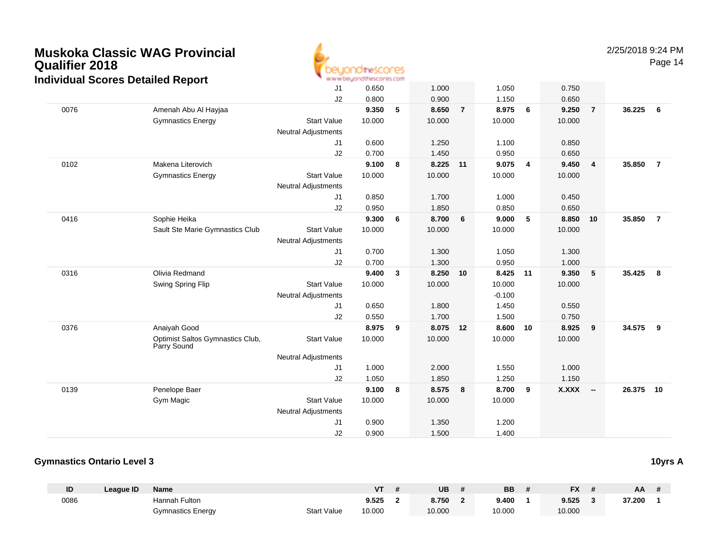

2/25/2018 9:24 PM

Page 14

|      | luiviuuai JCOI es Detalleu Report               |                            |        |   |          |                |          |    |        |                         |        |                |
|------|-------------------------------------------------|----------------------------|--------|---|----------|----------------|----------|----|--------|-------------------------|--------|----------------|
|      |                                                 | J1                         | 0.650  |   | 1.000    |                | 1.050    |    | 0.750  |                         |        |                |
|      |                                                 | J2                         | 0.800  |   | 0.900    |                | 1.150    |    | 0.650  |                         |        |                |
| 0076 | Amenah Abu Al Hayjaa                            |                            | 9.350  | 5 | 8.650    | $\overline{7}$ | 8.975    | 6  | 9.250  | $\overline{7}$          | 36.225 | 6              |
|      | <b>Gymnastics Energy</b>                        | <b>Start Value</b>         | 10.000 |   | 10.000   |                | 10.000   |    | 10.000 |                         |        |                |
|      |                                                 | <b>Neutral Adjustments</b> |        |   |          |                |          |    |        |                         |        |                |
|      |                                                 | J1                         | 0.600  |   | 1.250    |                | 1.100    |    | 0.850  |                         |        |                |
|      |                                                 | J2                         | 0.700  |   | 1.450    |                | 0.950    |    | 0.650  |                         |        |                |
| 0102 | Makena Literovich                               |                            | 9.100  | 8 | 8.225 11 |                | 9.075    | 4  | 9.450  | $\overline{4}$          | 35.850 | $\overline{7}$ |
|      | <b>Gymnastics Energy</b>                        | <b>Start Value</b>         | 10.000 |   | 10.000   |                | 10.000   |    | 10.000 |                         |        |                |
|      |                                                 | Neutral Adjustments        |        |   |          |                |          |    |        |                         |        |                |
|      |                                                 | J <sub>1</sub>             | 0.850  |   | 1.700    |                | 1.000    |    | 0.450  |                         |        |                |
|      |                                                 | J2                         | 0.950  |   | 1.850    |                | 0.850    |    | 0.650  |                         |        |                |
| 0416 | Sophie Heika                                    |                            | 9.300  | 6 | 8.700    | 6              | 9.000    | 5  | 8.850  | 10                      | 35.850 | $\overline{7}$ |
|      | Sault Ste Marie Gymnastics Club                 | <b>Start Value</b>         | 10.000 |   | 10.000   |                | 10.000   |    | 10.000 |                         |        |                |
|      |                                                 | <b>Neutral Adjustments</b> |        |   |          |                |          |    |        |                         |        |                |
|      |                                                 | J1                         | 0.700  |   | 1.300    |                | 1.050    |    | 1.300  |                         |        |                |
|      |                                                 | J2                         | 0.700  |   | 1.300    |                | 0.950    |    | 1.000  |                         |        |                |
| 0316 | Olivia Redmand                                  |                            | 9.400  | 3 | 8.250    | 10             | 8.425    | 11 | 9.350  | $\sqrt{5}$              | 35.425 | 8              |
|      | Swing Spring Flip                               | <b>Start Value</b>         | 10.000 |   | 10.000   |                | 10.000   |    | 10.000 |                         |        |                |
|      |                                                 | <b>Neutral Adjustments</b> |        |   |          |                | $-0.100$ |    |        |                         |        |                |
|      |                                                 | J1                         | 0.650  |   | 1.800    |                | 1.450    |    | 0.550  |                         |        |                |
|      |                                                 | J2                         | 0.550  |   | 1.700    |                | 1.500    |    | 0.750  |                         |        |                |
| 0376 | Anaiyah Good                                    |                            | 8.975  | 9 | 8.075 12 |                | 8.600    | 10 | 8.925  | $\overline{\mathbf{9}}$ | 34.575 | 9              |
|      | Optimist Saltos Gymnastics Club,<br>Parry Sound | <b>Start Value</b>         | 10.000 |   | 10.000   |                | 10.000   |    | 10.000 |                         |        |                |
|      |                                                 | <b>Neutral Adjustments</b> |        |   |          |                |          |    |        |                         |        |                |
|      |                                                 | J <sub>1</sub>             | 1.000  |   | 2.000    |                | 1.550    |    | 1.000  |                         |        |                |
|      |                                                 | J2                         | 1.050  |   | 1.850    |                | 1.250    |    | 1.150  |                         |        |                |
| 0139 | Penelope Baer                                   |                            | 9.100  | 8 | 8.575    | 8              | 8.700    | 9  | X.XXX  | $\sim$                  | 26.375 | 10             |
|      | Gym Magic                                       | <b>Start Value</b>         | 10.000 |   | 10.000   |                | 10.000   |    |        |                         |        |                |
|      |                                                 | <b>Neutral Adjustments</b> |        |   |          |                |          |    |        |                         |        |                |
|      |                                                 | J1                         | 0.900  |   | 1.350    |                | 1.200    |    |        |                         |        |                |
|      |                                                 | J2                         | 0.900  |   | 1.500    |                | 1.400    |    |        |                         |        |                |

#### **Gymnastics Ontario Level 3**

**ID League ID Name VT # UB # BB # FX # AA #** 0086 Hannah Fulton **9.525 <sup>2</sup> 8.750 <sup>2</sup> 9.400 <sup>1</sup> 9.525 <sup>3</sup> 37.200 <sup>1</sup>** Gymnastics Energy Start Valuee 10.000 10.000 10.000 10.000

**10yrs A**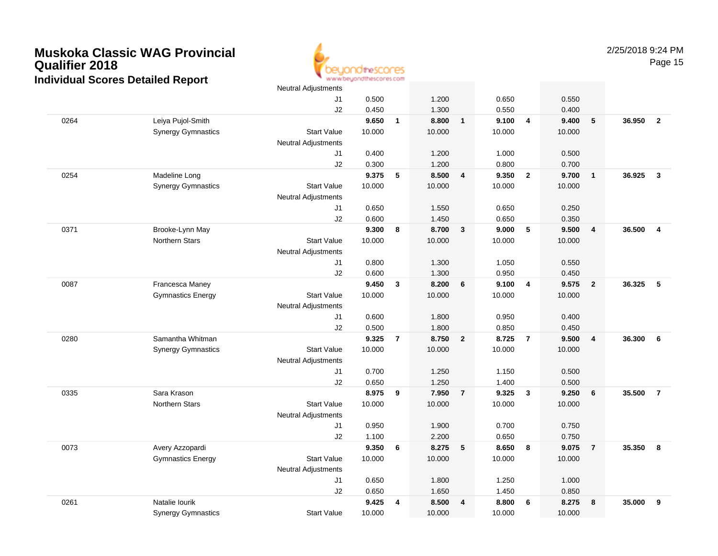

|      |                           | Neutral Adjustments        |                |                |                |                |                |                         |                |                |        |                         |
|------|---------------------------|----------------------------|----------------|----------------|----------------|----------------|----------------|-------------------------|----------------|----------------|--------|-------------------------|
|      |                           | J1                         | 0.500          |                | 1.200          |                | 0.650          |                         | 0.550          |                |        |                         |
|      |                           | J2                         | 0.450          |                | 1.300          |                | 0.550          |                         | 0.400          |                |        |                         |
| 0264 | Leiya Pujol-Smith         |                            | 9.650          | $\mathbf{1}$   | 8.800          | $\mathbf{1}$   | 9.100          | $\overline{4}$          | 9.400          | $\sqrt{5}$     | 36.950 | $\overline{2}$          |
|      | <b>Synergy Gymnastics</b> | <b>Start Value</b>         | 10.000         |                | 10.000         |                | 10.000         |                         | 10.000         |                |        |                         |
|      |                           | Neutral Adjustments        |                |                |                |                |                |                         |                |                |        |                         |
|      |                           | J1                         | 0.400          |                | 1.200          |                | 1.000          |                         | 0.500          |                |        |                         |
|      |                           | J2                         | 0.300          |                | 1.200          |                | 0.800          |                         | 0.700          |                |        |                         |
| 0254 | Madeline Long             |                            | 9.375          | ${\bf 5}$      | 8.500          | $\overline{4}$ | 9.350          | $\overline{2}$          | 9.700          | $\overline{1}$ | 36.925 | $\overline{3}$          |
|      | <b>Synergy Gymnastics</b> | <b>Start Value</b>         | 10.000         |                | 10.000         |                | 10.000         |                         | 10.000         |                |        |                         |
|      |                           | <b>Neutral Adjustments</b> |                |                |                |                |                |                         |                |                |        |                         |
|      |                           | J1                         | 0.650          |                | 1.550          |                | 0.650          |                         | 0.250          |                |        |                         |
|      |                           | J2                         | 0.600          |                | 1.450          |                | 0.650          |                         | 0.350          |                |        |                         |
| 0371 | Brooke-Lynn May           |                            | 9.300          | 8              | 8.700          | $\overline{3}$ | 9.000          | 5                       | 9.500          | $\overline{4}$ | 36.500 | $\overline{\mathbf{4}}$ |
|      | <b>Northern Stars</b>     | <b>Start Value</b>         | 10.000         |                | 10.000         |                | 10.000         |                         | 10.000         |                |        |                         |
|      |                           | <b>Neutral Adjustments</b> |                |                |                |                |                |                         |                |                |        |                         |
|      |                           | J1                         | 0.800          |                | 1.300          |                | 1.050          |                         | 0.550          |                |        |                         |
| 0087 | Francesca Maney           | J2                         | 0.600<br>9.450 | 3              | 1.300<br>8.200 | 6              | 0.950<br>9.100 | $\overline{4}$          | 0.450<br>9.575 | $\overline{2}$ | 36.325 | 5                       |
|      | <b>Gymnastics Energy</b>  | <b>Start Value</b>         | 10.000         |                | 10.000         |                | 10.000         |                         | 10.000         |                |        |                         |
|      |                           | <b>Neutral Adjustments</b> |                |                |                |                |                |                         |                |                |        |                         |
|      |                           | J1                         | 0.600          |                | 1.800          |                | 0.950          |                         | 0.400          |                |        |                         |
|      |                           | J2                         | 0.500          |                | 1.800          |                | 0.850          |                         | 0.450          |                |        |                         |
| 0280 | Samantha Whitman          |                            | 9.325          | $\overline{7}$ | 8.750          | $\overline{2}$ | 8.725          | $\overline{7}$          | 9.500          | $\overline{4}$ | 36.300 | 6                       |
|      | <b>Synergy Gymnastics</b> | <b>Start Value</b>         | 10.000         |                | 10.000         |                | 10.000         |                         | 10.000         |                |        |                         |
|      |                           | <b>Neutral Adjustments</b> |                |                |                |                |                |                         |                |                |        |                         |
|      |                           | J1                         | 0.700          |                | 1.250          |                | 1.150          |                         | 0.500          |                |        |                         |
|      |                           | J2                         | 0.650          |                | 1.250          |                | 1.400          |                         | 0.500          |                |        |                         |
| 0335 | Sara Krason               |                            | 8.975          | 9              | 7.950          | $\overline{7}$ | 9.325          | $\overline{\mathbf{3}}$ | 9.250          | 6              | 35.500 | $\overline{7}$          |
|      | <b>Northern Stars</b>     | <b>Start Value</b>         | 10.000         |                | 10.000         |                | 10.000         |                         | 10.000         |                |        |                         |
|      |                           | <b>Neutral Adjustments</b> |                |                |                |                |                |                         |                |                |        |                         |
|      |                           | J1                         | 0.950          |                | 1.900          |                | 0.700          |                         | 0.750          |                |        |                         |
|      |                           | J2                         | 1.100          |                | 2.200          |                | 0.650          |                         | 0.750          |                |        |                         |
| 0073 | Avery Azzopardi           |                            | 9.350          | 6              | 8.275          | 5              | 8.650          | 8                       | 9.075          | $\overline{7}$ | 35.350 | 8                       |
|      | <b>Gymnastics Energy</b>  | <b>Start Value</b>         | 10.000         |                | 10.000         |                | 10.000         |                         | 10.000         |                |        |                         |
|      |                           | <b>Neutral Adjustments</b> |                |                |                |                |                |                         |                |                |        |                         |
|      |                           | J1                         | 0.650          |                | 1.800          |                | 1.250          |                         | 1.000          |                |        |                         |
|      |                           | J2                         | 0.650          |                | 1.650          |                | 1.450          |                         | 0.850          |                |        |                         |
| 0261 | Natalie lourik            |                            | 9.425          | 4              | 8.500          | $\overline{4}$ | 8.800          | 6                       | 8.275          | 8              | 35.000 | 9                       |
|      | <b>Synergy Gymnastics</b> | <b>Start Value</b>         | 10.000         |                | 10.000         |                | 10.000         |                         | 10.000         |                |        |                         |
|      |                           |                            |                |                |                |                |                |                         |                |                |        |                         |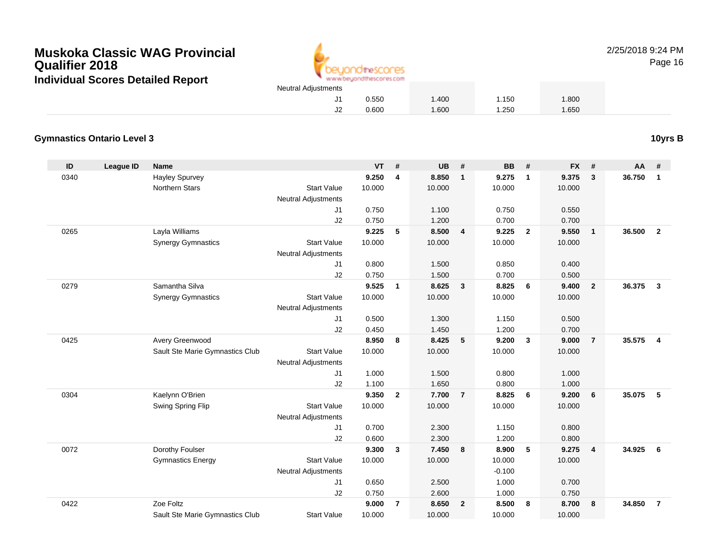Sault Ste Marie Gymnastics Club



0.600 1.600 1.250 1.650

2/25/2018 9:24 PM

Page 16

### **Gymnastics Ontario Level 3**

**ID League ID Name VT # UB # BB # FX # AA #** 0340 Hayley Spurvey **9.250 <sup>4</sup> 8.850 <sup>1</sup> 9.275 <sup>1</sup> 9.375 <sup>3</sup> 36.750 <sup>1</sup>** Northern Stars Start Valuee 10.000 10.000 10.000 10.000 Neutral Adjustments J1 0.750 1.100 0.750 0.550 J2 0.750 1.200 0.700 0.700 0265 Layla Williams **9.225 <sup>5</sup> 8.500 <sup>4</sup> 9.225 <sup>2</sup> 9.550 <sup>1</sup> 36.500 <sup>2</sup>** Synergy Gymnastics Start Valuee 10.000 10.000 10.000 10.000 Neutral Adjustments J1 0.800 1.500 0.850 0.400 J2 0.750 1.500 0.700 0.500 0279 Samantha Silva **9.525 <sup>1</sup> 8.625 <sup>3</sup> 8.825 <sup>6</sup> 9.400 <sup>2</sup> 36.375 <sup>3</sup>** Synergy Gymnastics Start Valuee 10.000 10.000 10.000 10.000 Neutral Adjustments J1 0.500 1.300 1.150 0.500 J2 0.450 1.450 1.200 0.700 0425 Avery Greenwood **8.950 <sup>8</sup> 8.425 <sup>5</sup> 9.200 <sup>3</sup> 9.000 <sup>7</sup> 35.575 <sup>4</sup>** Sault Ste Marie Gymnastics Club Start Value 10.000 10.000 10.000 10.000 Neutral Adjustments J1 1.000 1.500 0.800 1.000 J2 1.100 1.650 0.800 1.000 0304 Kaelynn O'Brien **9.350 <sup>2</sup> 7.700 <sup>7</sup> 8.825 <sup>6</sup> 9.200 <sup>6</sup> 35.075 <sup>5</sup>** Swing Spring Flip Start Value 10.000 10.000 10.000 10.000 Neutral Adjustments J1 0.700 2.300 1.150 0.800 J2 0.600 2.300 1.200 0.800 0072 Dorothy Foulser **9.300 <sup>3</sup> 7.450 <sup>8</sup> 8.900 <sup>5</sup> 9.275 <sup>4</sup> 34.925 <sup>6</sup>** Gymnastics Energy Start Valuee 10.000 10.000 10.000 10.000 Neutral Adjustments $\sim$  -0.100 1.000 J1 0.650 2.500 1.000 0.700 J2 0.750 2.600 1.000 0.750 0422Zoe Foltz **9.000 <sup>7</sup> 8.650 <sup>2</sup> 8.500 <sup>8</sup> 8.700 <sup>8</sup> 34.850 <sup>7</sup>**

Start Value 10.000 10.000 10.000 10.000

**10yrs B**